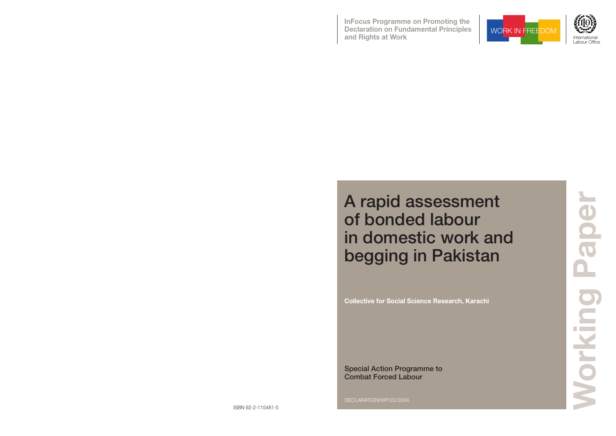

**InFocus Programme on Promoting the Declaration on Fundamental Principles and Rights at Work International Contract of Land Contract Contract of Land Contract Contract Contract On the International Contract Contract Contract Contract Contract Contract Contract Contract Contract Contract Contr** 



**Wo r k i n g P a p e r**

DECLARATION/WP/22/2004

# A rapid assessment of bonded labour in domestic work and begging in Pakistan

**Collective for Social Science Research, Karachi**

Special Action Programme to Combat Forced Labour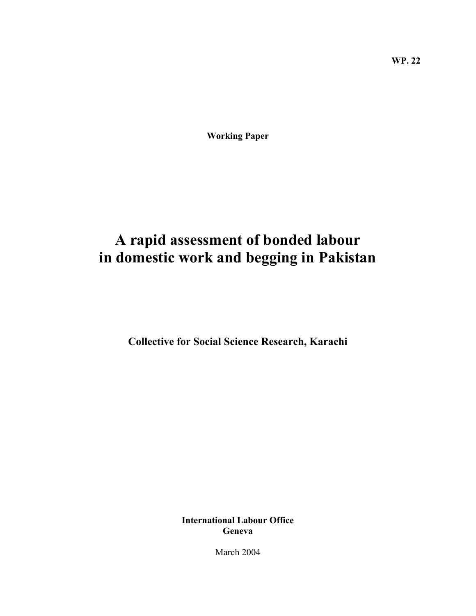**Working Paper** 

# **A rapid assessment of bonded labour in domestic work and begging in Pakistan**

**Collective for Social Science Research, Karachi** 

**International Labour Office Geneva** 

March 2004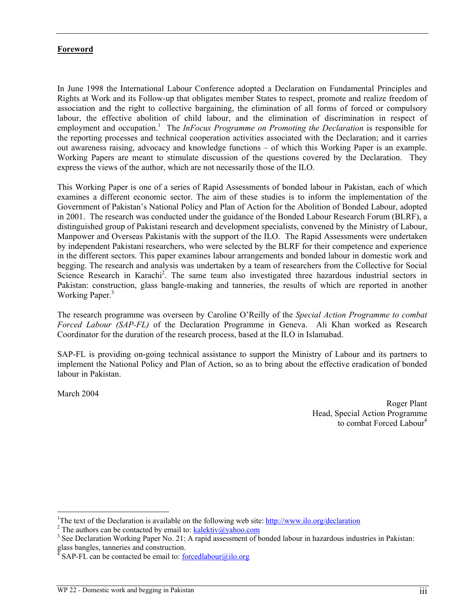# **Foreword**

In June 1998 the International Labour Conference adopted a Declaration on Fundamental Principles and Rights at Work and its Follow-up that obligates member States to respect, promote and realize freedom of association and the right to collective bargaining, the elimination of all forms of forced or compulsory labour, the effective abolition of child labour, and the elimination of discrimination in respect of employment and occupation.<sup>1</sup> The *InFocus Programme on Promoting the Declaration* is responsible for the reporting processes and technical cooperation activities associated with the Declaration; and it carries out awareness raising, advocacy and knowledge functions – of which this Working Paper is an example. Working Papers are meant to stimulate discussion of the questions covered by the Declaration. They express the views of the author, which are not necessarily those of the ILO.

This Working Paper is one of a series of Rapid Assessments of bonded labour in Pakistan, each of which examines a different economic sector. The aim of these studies is to inform the implementation of the Government of Pakistan's National Policy and Plan of Action for the Abolition of Bonded Labour, adopted in 2001. The research was conducted under the guidance of the Bonded Labour Research Forum (BLRF), a distinguished group of Pakistani research and development specialists, convened by the Ministry of Labour, Manpower and Overseas Pakistanis with the support of the ILO. The Rapid Assessments were undertaken by independent Pakistani researchers, who were selected by the BLRF for their competence and experience in the different sectors. This paper examines labour arrangements and bonded labour in domestic work and begging. The research and analysis was undertaken by a team of researchers from the Collective for Social Science Research in Karachi<sup>2</sup>. The same team also investigated three hazardous industrial sectors in Pakistan: construction, glass bangle-making and tanneries, the results of which are reported in another Working Paper.<sup>3</sup>

The research programme was overseen by Caroline O'Reilly of the *Special Action Programme to combat Forced Labour (SAP-FL)* of the Declaration Programme in Geneva. Ali Khan worked as Research Coordinator for the duration of the research process, based at the ILO in Islamabad.

SAP-FL is providing on-going technical assistance to support the Ministry of Labour and its partners to implement the National Policy and Plan of Action, so as to bring about the effective eradication of bonded labour in Pakistan.

March 2004

 $\overline{a}$ 

Roger Plant Head, Special Action Programme to combat Forced Labour<sup>4</sup>

<sup>&</sup>lt;sup>1</sup>The text of the Declaration is available on the following web site:  $\frac{http://www.ilo.org/declaration}{2}$ <br><sup>2</sup>The outhers can be contacted by email to: kalaktiv@yaboo.com

<sup>&</sup>lt;sup>2</sup> The authors can be contacted by email to: <u>kalektiv@yahoo.com</u>

<sup>&</sup>lt;sup>3</sup> See Declaration Working Paper No. 21: A rapid assessment of bonded labour in hazardous industries in Pakistan: glass bangles, tanneries and construction.<br> $^{4}$  S A D EL can be contacted become<br>at to: formal particular to: formal particular to: formal particular<br> $^{4}$  S A D EL can be contacted become<br> $^{4}$  S A D EL can be contacted

SAP-FL can be contacted be email to:  $\frac{1}{\text{1}}$  forcedlabour $\frac{1}{\text{1}}$  o.org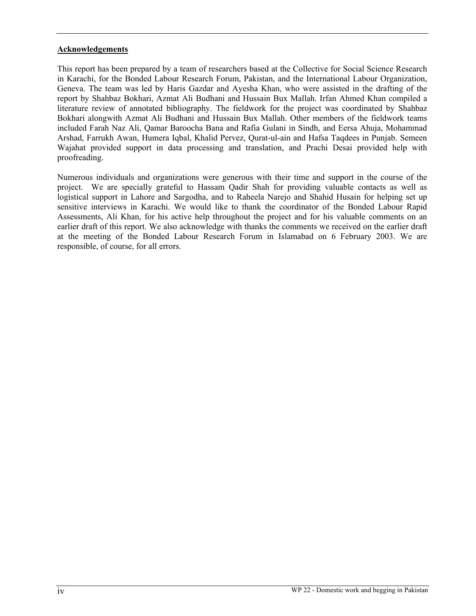#### **Acknowledgements**

This report has been prepared by a team of researchers based at the Collective for Social Science Research in Karachi, for the Bonded Labour Research Forum, Pakistan, and the International Labour Organization, Geneva. The team was led by Haris Gazdar and Ayesha Khan, who were assisted in the drafting of the report by Shahbaz Bokhari, Azmat Ali Budhani and Hussain Bux Mallah. Irfan Ahmed Khan compiled a literature review of annotated bibliography. The fieldwork for the project was coordinated by Shahbaz Bokhari alongwith Azmat Ali Budhani and Hussain Bux Mallah. Other members of the fieldwork teams included Farah Naz Ali, Qamar Baroocha Bana and Rafia Gulani in Sindh, and Eersa Ahuja, Mohammad Arshad, Farrukh Awan, Humera Iqbal, Khalid Pervez, Qurat-ul-ain and Hafsa Taqdees in Punjab. Semeen Wajahat provided support in data processing and translation, and Prachi Desai provided help with proofreading.

Numerous individuals and organizations were generous with their time and support in the course of the project. We are specially grateful to Hassam Qadir Shah for providing valuable contacts as well as logistical support in Lahore and Sargodha, and to Raheela Narejo and Shahid Husain for helping set up sensitive interviews in Karachi. We would like to thank the coordinator of the Bonded Labour Rapid Assessments, Ali Khan, for his active help throughout the project and for his valuable comments on an earlier draft of this report. We also acknowledge with thanks the comments we received on the earlier draft at the meeting of the Bonded Labour Research Forum in Islamabad on 6 February 2003. We are responsible, of course, for all errors.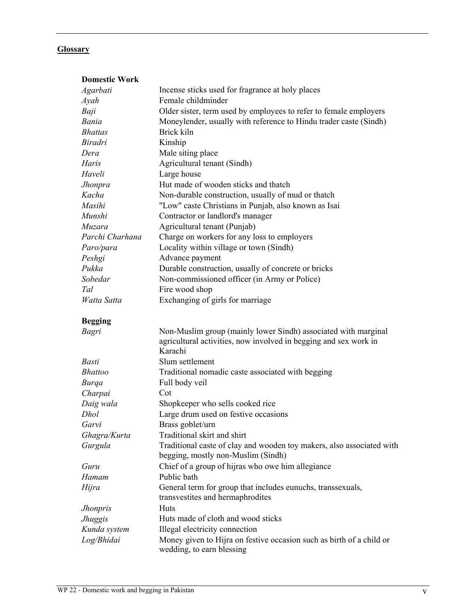#### **Glossary**

| <b>Domestic Work</b> |                                                                                                                                               |
|----------------------|-----------------------------------------------------------------------------------------------------------------------------------------------|
| Agarbati             | Incense sticks used for fragrance at holy places                                                                                              |
| Ayah                 | Female childminder                                                                                                                            |
| Baji                 | Older sister, term used by employees to refer to female employers                                                                             |
| Bania                | Moneylender, usually with reference to Hindu trader caste (Sindh)                                                                             |
| <b>Bhattas</b>       | Brick kiln                                                                                                                                    |
| <b>Biradri</b>       | Kinship                                                                                                                                       |
| Dera                 | Male siting place                                                                                                                             |
| Haris                | Agricultural tenant (Sindh)                                                                                                                   |
| Haveli               | Large house                                                                                                                                   |
| Jhonpra              | Hut made of wooden sticks and thatch                                                                                                          |
| Kacha                | Non-durable construction, usually of mud or thatch                                                                                            |
| Masihi               | "Low" caste Christians in Punjab, also known as Isai                                                                                          |
| Munshi               | Contractor or landlord's manager                                                                                                              |
| Muzara               | Agricultural tenant (Punjab)                                                                                                                  |
| Parchi Charhana      | Charge on workers for any loss to employers                                                                                                   |
| Paro/para            | Locality within village or town (Sindh)                                                                                                       |
| Peshgi               | Advance payment                                                                                                                               |
| Pukka                | Durable construction, usually of concrete or bricks                                                                                           |
| Sobedar              | Non-commissioned officer (in Army or Police)                                                                                                  |
| Tal                  | Fire wood shop                                                                                                                                |
| Watta Satta          | Exchanging of girls for marriage                                                                                                              |
| <b>Begging</b>       |                                                                                                                                               |
| Bagri                | Non-Muslim group (mainly lower Sindh) associated with marginal<br>agricultural activities, now involved in begging and sex work in<br>Karachi |
| <b>Basti</b>         | Slum settlement                                                                                                                               |
| <b>Bhattoo</b>       | Traditional nomadic caste associated with begging                                                                                             |
| <b>Burga</b>         | Full body veil                                                                                                                                |
| Charpai              | Cot                                                                                                                                           |
| Daig wala            | Shopkeeper who sells cooked rice                                                                                                              |
| Dhol                 | Large drum used on festive occasions                                                                                                          |
| Garvi                | Brass goblet/urn                                                                                                                              |
| Ghagra/Kurta         | Traditional skirt and shirt                                                                                                                   |
| Gurgula              | Traditional caste of clay and wooden toy makers, also associated with<br>begging, mostly non-Muslim (Sindh)                                   |
| Guru                 | Chief of a group of hijras who owe him allegiance                                                                                             |
| Hamam                | Public bath                                                                                                                                   |
| Hijra                | General term for group that includes eunuchs, transsexuals,<br>transvestites and hermaphrodites                                               |
| <b>Jhonpris</b>      | Huts                                                                                                                                          |
| <b>Jhuggis</b>       | Huts made of cloth and wood sticks                                                                                                            |
| Kunda system         | Illegal electricity connection                                                                                                                |
| Log/Bhidai           | Money given to Hijra on festive occasion such as birth of a child or<br>wedding, to earn blessing                                             |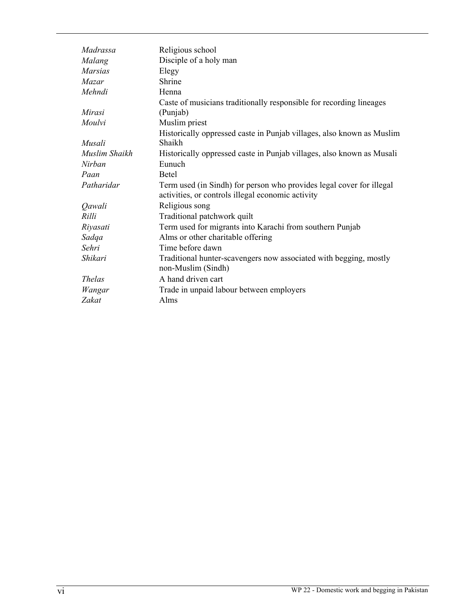| Madrassa       | Religious school                                                                                                          |
|----------------|---------------------------------------------------------------------------------------------------------------------------|
| Malang         | Disciple of a holy man                                                                                                    |
| <b>Marsias</b> | Elegy                                                                                                                     |
| Mazar          | Shrine                                                                                                                    |
| Mehndi         | Henna                                                                                                                     |
|                | Caste of musicians traditionally responsible for recording lineages                                                       |
| Mirasi         | (Punjab)                                                                                                                  |
| Moulvi         | Muslim priest                                                                                                             |
|                | Historically oppressed caste in Punjab villages, also known as Muslim                                                     |
| Musali         | <b>Shaikh</b>                                                                                                             |
| Muslim Shaikh  | Historically oppressed caste in Punjab villages, also known as Musali                                                     |
| Nirban         | Eunuch                                                                                                                    |
| Paan           | <b>Betel</b>                                                                                                              |
| Patharidar     | Term used (in Sindh) for person who provides legal cover for illegal<br>activities, or controls illegal economic activity |
| Qawali         | Religious song                                                                                                            |
| Rilli          | Traditional patchwork quilt                                                                                               |
| Riyasati       | Term used for migrants into Karachi from southern Punjab                                                                  |
| Sadqa          | Alms or other charitable offering                                                                                         |
| Sehri          | Time before dawn                                                                                                          |
| Shikari        | Traditional hunter-scavengers now associated with begging, mostly                                                         |
|                | non-Muslim (Sindh)                                                                                                        |
| <i>Thelas</i>  | A hand driven cart                                                                                                        |
| Wangar         | Trade in unpaid labour between employers                                                                                  |
| Zakat          | Alms                                                                                                                      |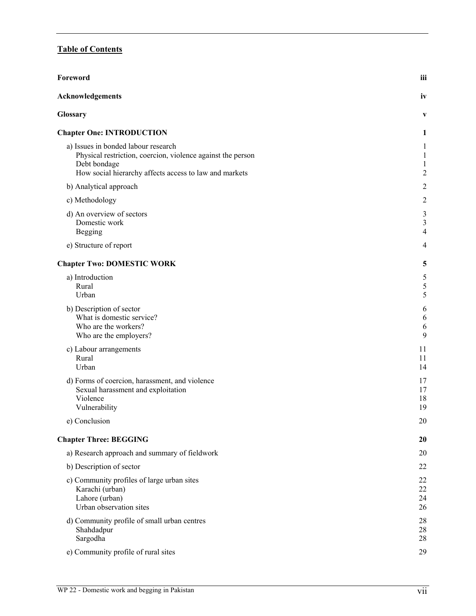# **Table of Contents**

| Foreword                                                                                                                                                                     | iii                             |
|------------------------------------------------------------------------------------------------------------------------------------------------------------------------------|---------------------------------|
| <b>Acknowledgements</b>                                                                                                                                                      | iv                              |
| Glossary                                                                                                                                                                     | V                               |
| <b>Chapter One: INTRODUCTION</b>                                                                                                                                             | 1                               |
| a) Issues in bonded labour research<br>Physical restriction, coercion, violence against the person<br>Debt bondage<br>How social hierarchy affects access to law and markets | 1<br>1<br>1<br>$\boldsymbol{2}$ |
| b) Analytical approach                                                                                                                                                       | $\overline{c}$                  |
| c) Methodology                                                                                                                                                               | $\overline{c}$                  |
| d) An overview of sectors<br>Domestic work<br>Begging                                                                                                                        | 3<br>3<br>4                     |
| e) Structure of report                                                                                                                                                       | 4                               |
| <b>Chapter Two: DOMESTIC WORK</b>                                                                                                                                            | 5                               |
| a) Introduction<br>Rural<br>Urban                                                                                                                                            | 5<br>5<br>5                     |
| b) Description of sector<br>What is domestic service?<br>Who are the workers?<br>Who are the employers?                                                                      | 6<br>6<br>6<br>9                |
| c) Labour arrangements<br>Rural<br>Urban                                                                                                                                     | 11<br>11<br>14                  |
| d) Forms of coercion, harassment, and violence<br>Sexual harassment and exploitation<br>Violence<br>Vulnerability                                                            | 17<br>17<br>18<br>19            |
| e) Conclusion                                                                                                                                                                | $20\,$                          |
| <b>Chapter Three: BEGGING</b>                                                                                                                                                | 20                              |
| a) Research approach and summary of fieldwork                                                                                                                                | 20                              |
| b) Description of sector                                                                                                                                                     | 22                              |
| c) Community profiles of large urban sites<br>Karachi (urban)<br>Lahore (urban)<br>Urban observation sites                                                                   | 22<br>22<br>24<br>26            |
| d) Community profile of small urban centres<br>Shahdadpur<br>Sargodha                                                                                                        | 28<br>28<br>28                  |
| e) Community profile of rural sites                                                                                                                                          | 29                              |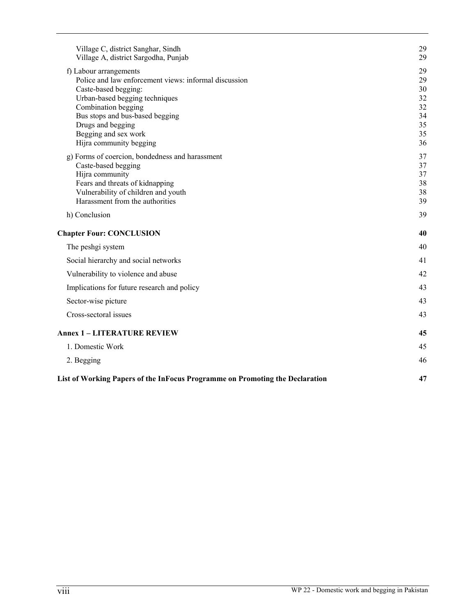| Village C, district Sanghar, Sindh<br>Village A, district Sargodha, Punjab                                                                                                                                                                                                  | 29<br>29                                           |
|-----------------------------------------------------------------------------------------------------------------------------------------------------------------------------------------------------------------------------------------------------------------------------|----------------------------------------------------|
| f) Labour arrangements<br>Police and law enforcement views: informal discussion<br>Caste-based begging:<br>Urban-based begging techniques<br>Combination begging<br>Bus stops and bus-based begging<br>Drugs and begging<br>Begging and sex work<br>Hijra community begging | 29<br>29<br>30<br>32<br>32<br>34<br>35<br>35<br>36 |
| g) Forms of coercion, bondedness and harassment<br>Caste-based begging<br>Hijra community<br>Fears and threats of kidnapping<br>Vulnerability of children and youth<br>Harassment from the authorities                                                                      | 37<br>37<br>37<br>38<br>38<br>39                   |
| h) Conclusion                                                                                                                                                                                                                                                               | 39                                                 |
| <b>Chapter Four: CONCLUSION</b>                                                                                                                                                                                                                                             | 40                                                 |
| The peshgi system                                                                                                                                                                                                                                                           | 40                                                 |
| Social hierarchy and social networks                                                                                                                                                                                                                                        | 41                                                 |
| Vulnerability to violence and abuse                                                                                                                                                                                                                                         | 42                                                 |
| Implications for future research and policy                                                                                                                                                                                                                                 | 43                                                 |
| Sector-wise picture                                                                                                                                                                                                                                                         | 43                                                 |
| Cross-sectoral issues                                                                                                                                                                                                                                                       | 43                                                 |
| <b>Annex 1 - LITERATURE REVIEW</b>                                                                                                                                                                                                                                          | 45                                                 |
| 1. Domestic Work                                                                                                                                                                                                                                                            | 45                                                 |
| 2. Begging                                                                                                                                                                                                                                                                  | 46                                                 |
| List of Working Papers of the InFocus Programme on Promoting the Declaration                                                                                                                                                                                                | 47                                                 |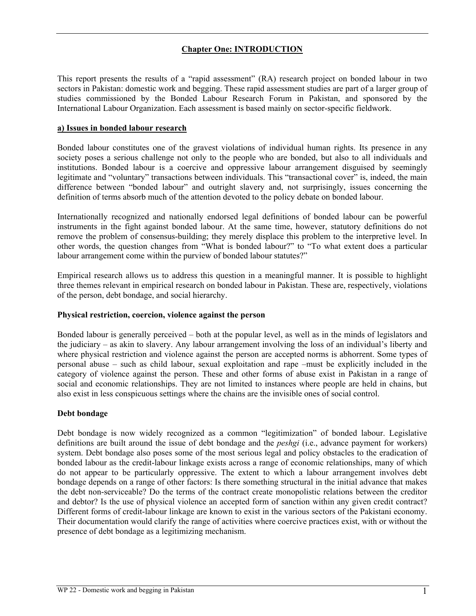# **Chapter One: INTRODUCTION**

This report presents the results of a "rapid assessment" (RA) research project on bonded labour in two sectors in Pakistan: domestic work and begging. These rapid assessment studies are part of a larger group of studies commissioned by the Bonded Labour Research Forum in Pakistan, and sponsored by the International Labour Organization. Each assessment is based mainly on sector-specific fieldwork.

#### **a) Issues in bonded labour research**

Bonded labour constitutes one of the gravest violations of individual human rights. Its presence in any society poses a serious challenge not only to the people who are bonded, but also to all individuals and institutions. Bonded labour is a coercive and oppressive labour arrangement disguised by seemingly legitimate and "voluntary" transactions between individuals. This "transactional cover" is, indeed, the main difference between "bonded labour" and outright slavery and, not surprisingly, issues concerning the definition of terms absorb much of the attention devoted to the policy debate on bonded labour.

Internationally recognized and nationally endorsed legal definitions of bonded labour can be powerful instruments in the fight against bonded labour. At the same time, however, statutory definitions do not remove the problem of consensus-building; they merely displace this problem to the interpretive level. In other words, the question changes from "What is bonded labour?" to "To what extent does a particular labour arrangement come within the purview of bonded labour statutes?"

Empirical research allows us to address this question in a meaningful manner. It is possible to highlight three themes relevant in empirical research on bonded labour in Pakistan. These are, respectively, violations of the person, debt bondage, and social hierarchy.

#### **Physical restriction, coercion, violence against the person**

Bonded labour is generally perceived – both at the popular level, as well as in the minds of legislators and the judiciary – as akin to slavery. Any labour arrangement involving the loss of an individual's liberty and where physical restriction and violence against the person are accepted norms is abhorrent. Some types of personal abuse – such as child labour, sexual exploitation and rape –must be explicitly included in the category of violence against the person. These and other forms of abuse exist in Pakistan in a range of social and economic relationships. They are not limited to instances where people are held in chains, but also exist in less conspicuous settings where the chains are the invisible ones of social control.

#### **Debt bondage**

Debt bondage is now widely recognized as a common "legitimization" of bonded labour. Legislative definitions are built around the issue of debt bondage and the *peshgi* (i.e., advance payment for workers) system. Debt bondage also poses some of the most serious legal and policy obstacles to the eradication of bonded labour as the credit-labour linkage exists across a range of economic relationships, many of which do not appear to be particularly oppressive. The extent to which a labour arrangement involves debt bondage depends on a range of other factors: Is there something structural in the initial advance that makes the debt non-serviceable? Do the terms of the contract create monopolistic relations between the creditor and debtor? Is the use of physical violence an accepted form of sanction within any given credit contract? Different forms of credit-labour linkage are known to exist in the various sectors of the Pakistani economy. Their documentation would clarify the range of activities where coercive practices exist, with or without the presence of debt bondage as a legitimizing mechanism.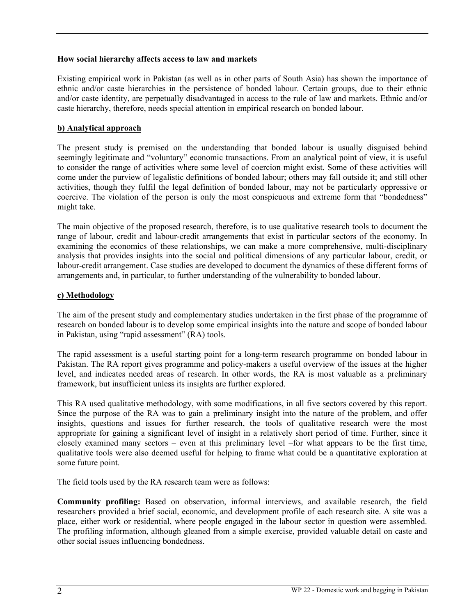#### **How social hierarchy affects access to law and markets**

Existing empirical work in Pakistan (as well as in other parts of South Asia) has shown the importance of ethnic and/or caste hierarchies in the persistence of bonded labour. Certain groups, due to their ethnic and/or caste identity, are perpetually disadvantaged in access to the rule of law and markets. Ethnic and/or caste hierarchy, therefore, needs special attention in empirical research on bonded labour.

### **b) Analytical approach**

The present study is premised on the understanding that bonded labour is usually disguised behind seemingly legitimate and "voluntary" economic transactions. From an analytical point of view, it is useful to consider the range of activities where some level of coercion might exist. Some of these activities will come under the purview of legalistic definitions of bonded labour; others may fall outside it; and still other activities, though they fulfil the legal definition of bonded labour, may not be particularly oppressive or coercive. The violation of the person is only the most conspicuous and extreme form that "bondedness" might take.

The main objective of the proposed research, therefore, is to use qualitative research tools to document the range of labour, credit and labour-credit arrangements that exist in particular sectors of the economy. In examining the economics of these relationships, we can make a more comprehensive, multi-disciplinary analysis that provides insights into the social and political dimensions of any particular labour, credit, or labour-credit arrangement. Case studies are developed to document the dynamics of these different forms of arrangements and, in particular, to further understanding of the vulnerability to bonded labour.

#### **c) Methodology**

The aim of the present study and complementary studies undertaken in the first phase of the programme of research on bonded labour is to develop some empirical insights into the nature and scope of bonded labour in Pakistan, using "rapid assessment" (RA) tools.

The rapid assessment is a useful starting point for a long-term research programme on bonded labour in Pakistan. The RA report gives programme and policy-makers a useful overview of the issues at the higher level, and indicates needed areas of research. In other words, the RA is most valuable as a preliminary framework, but insufficient unless its insights are further explored.

This RA used qualitative methodology, with some modifications, in all five sectors covered by this report. Since the purpose of the RA was to gain a preliminary insight into the nature of the problem, and offer insights, questions and issues for further research, the tools of qualitative research were the most appropriate for gaining a significant level of insight in a relatively short period of time. Further, since it closely examined many sectors – even at this preliminary level –for what appears to be the first time, qualitative tools were also deemed useful for helping to frame what could be a quantitative exploration at some future point.

The field tools used by the RA research team were as follows:

**Community profiling:** Based on observation, informal interviews, and available research, the field researchers provided a brief social, economic, and development profile of each research site. A site was a place, either work or residential, where people engaged in the labour sector in question were assembled. The profiling information, although gleaned from a simple exercise, provided valuable detail on caste and other social issues influencing bondedness.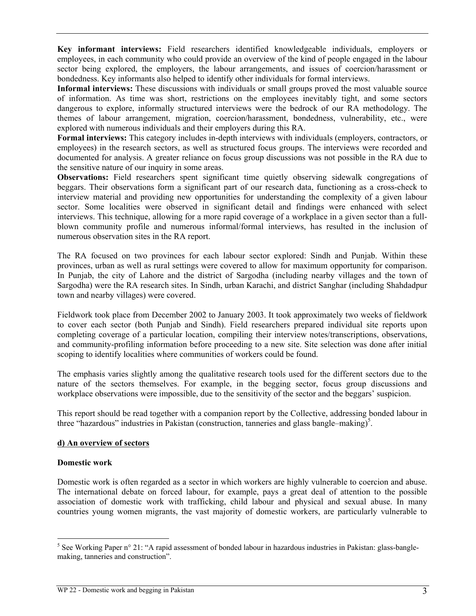**Key informant interviews:** Field researchers identified knowledgeable individuals, employers or employees, in each community who could provide an overview of the kind of people engaged in the labour sector being explored, the employers, the labour arrangements, and issues of coercion/harassment or bondedness. Key informants also helped to identify other individuals for formal interviews.

**Informal interviews:** These discussions with individuals or small groups proved the most valuable source of information. As time was short, restrictions on the employees inevitably tight, and some sectors dangerous to explore, informally structured interviews were the bedrock of our RA methodology. The themes of labour arrangement, migration, coercion/harassment, bondedness, vulnerability, etc., were explored with numerous individuals and their employers during this RA.

**Formal interviews:** This category includes in-depth interviews with individuals (employers, contractors, or employees) in the research sectors, as well as structured focus groups. The interviews were recorded and documented for analysis. A greater reliance on focus group discussions was not possible in the RA due to the sensitive nature of our inquiry in some areas.

**Observations:** Field researchers spent significant time quietly observing sidewalk congregations of beggars. Their observations form a significant part of our research data, functioning as a cross-check to interview material and providing new opportunities for understanding the complexity of a given labour sector. Some localities were observed in significant detail and findings were enhanced with select interviews. This technique, allowing for a more rapid coverage of a workplace in a given sector than a fullblown community profile and numerous informal/formal interviews, has resulted in the inclusion of numerous observation sites in the RA report.

The RA focused on two provinces for each labour sector explored: Sindh and Punjab. Within these provinces, urban as well as rural settings were covered to allow for maximum opportunity for comparison. In Punjab, the city of Lahore and the district of Sargodha (including nearby villages and the town of Sargodha) were the RA research sites. In Sindh, urban Karachi, and district Sanghar (including Shahdadpur town and nearby villages) were covered.

Fieldwork took place from December 2002 to January 2003. It took approximately two weeks of fieldwork to cover each sector (both Punjab and Sindh). Field researchers prepared individual site reports upon completing coverage of a particular location, compiling their interview notes/transcriptions, observations, and community-profiling information before proceeding to a new site. Site selection was done after initial scoping to identify localities where communities of workers could be found.

The emphasis varies slightly among the qualitative research tools used for the different sectors due to the nature of the sectors themselves. For example, in the begging sector, focus group discussions and workplace observations were impossible, due to the sensitivity of the sector and the beggars' suspicion.

This report should be read together with a companion report by the Collective, addressing bonded labour in three "hazardous" industries in Pakistan (construction, tanneries and glass bangle–making)<sup>5</sup>.

#### **d) An overview of sectors**

#### **Domestic work**

 $\overline{a}$ 

Domestic work is often regarded as a sector in which workers are highly vulnerable to coercion and abuse. The international debate on forced labour, for example, pays a great deal of attention to the possible association of domestic work with trafficking, child labour and physical and sexual abuse. In many countries young women migrants, the vast majority of domestic workers, are particularly vulnerable to

<sup>&</sup>lt;sup>5</sup> See Working Paper n° 21: "A rapid assessment of bonded labour in hazardous industries in Pakistan: glass-banglemaking, tanneries and construction".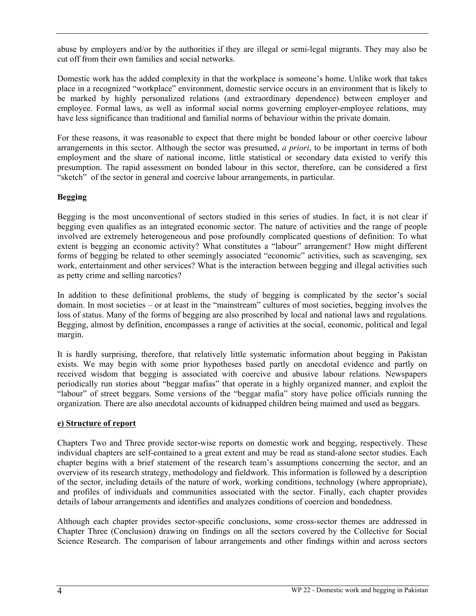abuse by employers and/or by the authorities if they are illegal or semi-legal migrants. They may also be cut off from their own families and social networks.

Domestic work has the added complexity in that the workplace is someone's home. Unlike work that takes place in a recognized "workplace" environment, domestic service occurs in an environment that is likely to be marked by highly personalized relations (and extraordinary dependence) between employer and employee. Formal laws, as well as informal social norms governing employer-employee relations, may have less significance than traditional and familial norms of behaviour within the private domain.

For these reasons, it was reasonable to expect that there might be bonded labour or other coercive labour arrangements in this sector. Although the sector was presumed, *a priori*, to be important in terms of both employment and the share of national income, little statistical or secondary data existed to verify this presumption. The rapid assessment on bonded labour in this sector, therefore, can be considered a first "sketch" of the sector in general and coercive labour arrangements, in particular.

# **Begging**

Begging is the most unconventional of sectors studied in this series of studies. In fact, it is not clear if begging even qualifies as an integrated economic sector. The nature of activities and the range of people involved are extremely heterogeneous and pose profoundly complicated questions of definition: To what extent is begging an economic activity? What constitutes a "labour" arrangement? How might different forms of begging be related to other seemingly associated "economic" activities, such as scavenging, sex work, entertainment and other services? What is the interaction between begging and illegal activities such as petty crime and selling narcotics?

In addition to these definitional problems, the study of begging is complicated by the sector's social domain. In most societies – or at least in the "mainstream" cultures of most societies, begging involves the loss of status. Many of the forms of begging are also proscribed by local and national laws and regulations. Begging, almost by definition, encompasses a range of activities at the social, economic, political and legal margin.

It is hardly surprising, therefore, that relatively little systematic information about begging in Pakistan exists. We may begin with some prior hypotheses based partly on anecdotal evidence and partly on received wisdom that begging is associated with coercive and abusive labour relations. Newspapers periodically run stories about "beggar mafias" that operate in a highly organized manner, and exploit the "labour" of street beggars. Some versions of the "beggar mafia" story have police officials running the organization. There are also anecdotal accounts of kidnapped children being maimed and used as beggars.

# **e) Structure of report**

Chapters Two and Three provide sector-wise reports on domestic work and begging, respectively. These individual chapters are self-contained to a great extent and may be read as stand-alone sector studies. Each chapter begins with a brief statement of the research team's assumptions concerning the sector, and an overview of its research strategy, methodology and fieldwork. This information is followed by a description of the sector, including details of the nature of work, working conditions, technology (where appropriate), and profiles of individuals and communities associated with the sector. Finally, each chapter provides details of labour arrangements and identifies and analyzes conditions of coercion and bondedness.

Although each chapter provides sector-specific conclusions, some cross-sector themes are addressed in Chapter Three (Conclusion) drawing on findings on all the sectors covered by the Collective for Social Science Research. The comparison of labour arrangements and other findings within and across sectors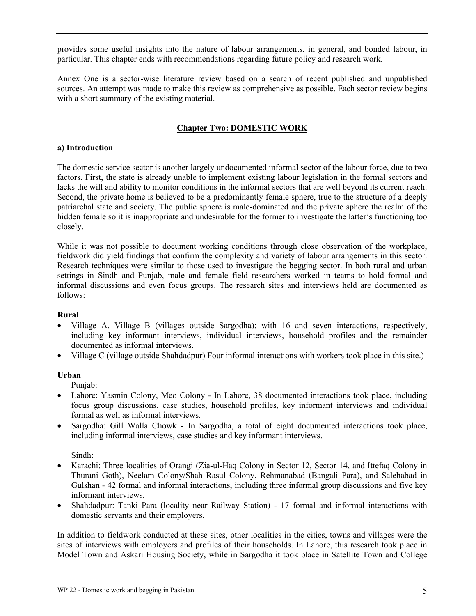provides some useful insights into the nature of labour arrangements, in general, and bonded labour, in particular. This chapter ends with recommendations regarding future policy and research work.

Annex One is a sector-wise literature review based on a search of recent published and unpublished sources. An attempt was made to make this review as comprehensive as possible. Each sector review begins with a short summary of the existing material.

# **Chapter Two: DOMESTIC WORK**

# **a) Introduction**

The domestic service sector is another largely undocumented informal sector of the labour force, due to two factors. First, the state is already unable to implement existing labour legislation in the formal sectors and lacks the will and ability to monitor conditions in the informal sectors that are well beyond its current reach. Second, the private home is believed to be a predominantly female sphere, true to the structure of a deeply patriarchal state and society. The public sphere is male-dominated and the private sphere the realm of the hidden female so it is inappropriate and undesirable for the former to investigate the latter's functioning too closely.

While it was not possible to document working conditions through close observation of the workplace, fieldwork did yield findings that confirm the complexity and variety of labour arrangements in this sector. Research techniques were similar to those used to investigate the begging sector. In both rural and urban settings in Sindh and Punjab, male and female field researchers worked in teams to hold formal and informal discussions and even focus groups. The research sites and interviews held are documented as follows:

# **Rural**

- Village A, Village B (villages outside Sargodha): with 16 and seven interactions, respectively, including key informant interviews, individual interviews, household profiles and the remainder documented as informal interviews.
- Village C (village outside Shahdadpur) Four informal interactions with workers took place in this site.)

# **Urban**

Punjab:

- Lahore: Yasmin Colony, Meo Colony In Lahore, 38 documented interactions took place, including focus group discussions, case studies, household profiles, key informant interviews and individual formal as well as informal interviews.
- Sargodha: Gill Walla Chowk In Sargodha, a total of eight documented interactions took place, including informal interviews, case studies and key informant interviews.

Sindh:

- Karachi: Three localities of Orangi (Zia-ul-Haq Colony in Sector 12, Sector 14, and Ittefaq Colony in Thurani Goth), Neelam Colony/Shah Rasul Colony, Rehmanabad (Bangali Para), and Salehabad in Gulshan - 42 formal and informal interactions, including three informal group discussions and five key informant interviews.
- Shahdadpur: Tanki Para (locality near Railway Station) 17 formal and informal interactions with domestic servants and their employers.

In addition to fieldwork conducted at these sites, other localities in the cities, towns and villages were the sites of interviews with employers and profiles of their households. In Lahore, this research took place in Model Town and Askari Housing Society, while in Sargodha it took place in Satellite Town and College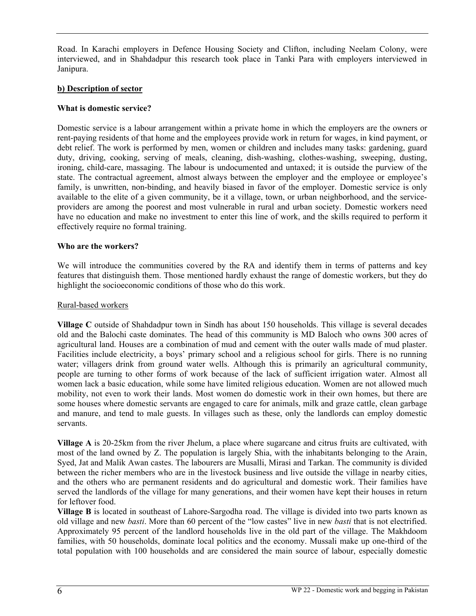Road. In Karachi employers in Defence Housing Society and Clifton, including Neelam Colony, were interviewed, and in Shahdadpur this research took place in Tanki Para with employers interviewed in Janipura.

### **b) Description of sector**

#### **What is domestic service?**

Domestic service is a labour arrangement within a private home in which the employers are the owners or rent-paying residents of that home and the employees provide work in return for wages, in kind payment, or debt relief. The work is performed by men, women or children and includes many tasks: gardening, guard duty, driving, cooking, serving of meals, cleaning, dish-washing, clothes-washing, sweeping, dusting, ironing, child-care, massaging. The labour is undocumented and untaxed; it is outside the purview of the state. The contractual agreement, almost always between the employer and the employee or employee's family, is unwritten, non-binding, and heavily biased in favor of the employer. Domestic service is only available to the elite of a given community, be it a village, town, or urban neighborhood, and the serviceproviders are among the poorest and most vulnerable in rural and urban society. Domestic workers need have no education and make no investment to enter this line of work, and the skills required to perform it effectively require no formal training.

#### **Who are the workers?**

We will introduce the communities covered by the RA and identify them in terms of patterns and key features that distinguish them. Those mentioned hardly exhaust the range of domestic workers, but they do highlight the socioeconomic conditions of those who do this work.

#### Rural-based workers

**Village C** outside of Shahdadpur town in Sindh has about 150 households. This village is several decades old and the Balochi caste dominates. The head of this community is MD Baloch who owns 300 acres of agricultural land. Houses are a combination of mud and cement with the outer walls made of mud plaster. Facilities include electricity, a boys' primary school and a religious school for girls. There is no running water; villagers drink from ground water wells. Although this is primarily an agricultural community, people are turning to other forms of work because of the lack of sufficient irrigation water. Almost all women lack a basic education, while some have limited religious education. Women are not allowed much mobility, not even to work their lands. Most women do domestic work in their own homes, but there are some houses where domestic servants are engaged to care for animals, milk and graze cattle, clean garbage and manure, and tend to male guests. In villages such as these, only the landlords can employ domestic servants.

**Village A** is 20-25km from the river Jhelum, a place where sugarcane and citrus fruits are cultivated, with most of the land owned by Z. The population is largely Shia, with the inhabitants belonging to the Arain, Syed, Jat and Malik Awan castes. The labourers are Musalli, Mirasi and Tarkan. The community is divided between the richer members who are in the livestock business and live outside the village in nearby cities, and the others who are permanent residents and do agricultural and domestic work. Their families have served the landlords of the village for many generations, and their women have kept their houses in return for leftover food.

**Village B** is located in southeast of Lahore-Sargodha road. The village is divided into two parts known as old village and new *basti*. More than 60 percent of the "low castes" live in new *basti* that is not electrified. Approximately 95 percent of the landlord households live in the old part of the village. The Makhdoom families, with 50 households, dominate local politics and the economy. Mussali make up one-third of the total population with 100 households and are considered the main source of labour, especially domestic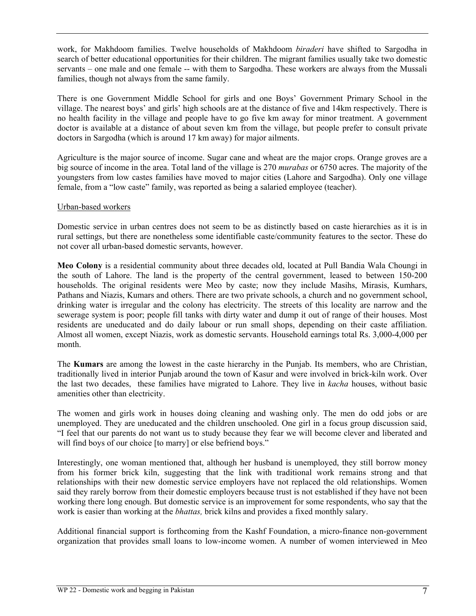work, for Makhdoom families. Twelve households of Makhdoom *biraderi* have shifted to Sargodha in search of better educational opportunities for their children. The migrant families usually take two domestic servants – one male and one female -- with them to Sargodha. These workers are always from the Mussali families, though not always from the same family.

There is one Government Middle School for girls and one Boys' Government Primary School in the village. The nearest boys' and girls' high schools are at the distance of five and 14km respectively. There is no health facility in the village and people have to go five km away for minor treatment. A government doctor is available at a distance of about seven km from the village, but people prefer to consult private doctors in Sargodha (which is around 17 km away) for major ailments.

Agriculture is the major source of income. Sugar cane and wheat are the major crops. Orange groves are a big source of income in the area. Total land of the village is 270 *murabas* or 6750 acres. The majority of the youngsters from low castes families have moved to major cities (Lahore and Sargodha). Only one village female, from a "low caste" family, was reported as being a salaried employee (teacher).

#### Urban-based workers

Domestic service in urban centres does not seem to be as distinctly based on caste hierarchies as it is in rural settings, but there are nonetheless some identifiable caste/community features to the sector. These do not cover all urban-based domestic servants, however.

**Meo Colony** is a residential community about three decades old, located at Pull Bandia Wala Choungi in the south of Lahore. The land is the property of the central government, leased to between 150-200 households. The original residents were Meo by caste; now they include Masihs, Mirasis, Kumhars, Pathans and Niazis, Kumars and others. There are two private schools, a church and no government school, drinking water is irregular and the colony has electricity. The streets of this locality are narrow and the sewerage system is poor; people fill tanks with dirty water and dump it out of range of their houses. Most residents are uneducated and do daily labour or run small shops, depending on their caste affiliation. Almost all women, except Niazis, work as domestic servants. Household earnings total Rs. 3,000-4,000 per month.

The **Kumars** are among the lowest in the caste hierarchy in the Punjab. Its members, who are Christian, traditionally lived in interior Punjab around the town of Kasur and were involved in brick-kiln work. Over the last two decades, these families have migrated to Lahore. They live in *kacha* houses, without basic amenities other than electricity.

The women and girls work in houses doing cleaning and washing only. The men do odd jobs or are unemployed. They are uneducated and the children unschooled. One girl in a focus group discussion said, "I feel that our parents do not want us to study because they fear we will become clever and liberated and will find boys of our choice [to marry] or else befriend boys."

Interestingly, one woman mentioned that, although her husband is unemployed, they still borrow money from his former brick kiln, suggesting that the link with traditional work remains strong and that relationships with their new domestic service employers have not replaced the old relationships. Women said they rarely borrow from their domestic employers because trust is not established if they have not been working there long enough. But domestic service is an improvement for some respondents, who say that the work is easier than working at the *bhattas,* brick kilns and provides a fixed monthly salary.

Additional financial support is forthcoming from the Kashf Foundation, a micro-finance non-government organization that provides small loans to low-income women. A number of women interviewed in Meo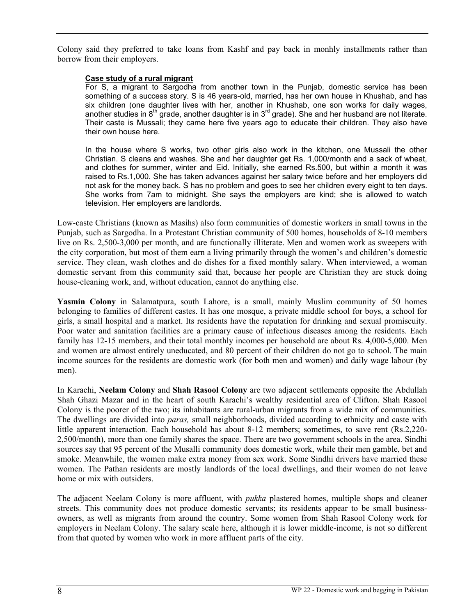Colony said they preferred to take loans from Kashf and pay back in monhly installments rather than borrow from their employers.

#### **Case study of a rural migrant**

For S, a migrant to Sargodha from another town in the Punjab, domestic service has been something of a success story. S is 46 years-old, married, has her own house in Khushab, and has six children (one daughter lives with her, another in Khushab, one son works for daily wages, another studies in  $8<sup>th</sup>$  grade, another daughter is in  $3<sup>rd</sup>$  grade). She and her husband are not literate. Their caste is Mussali; they came here five years ago to educate their children. They also have their own house here.

In the house where S works, two other girls also work in the kitchen, one Mussali the other Christian. S cleans and washes. She and her daughter get Rs. 1,000/month and a sack of wheat, and clothes for summer, winter and Eid. Initially, she earned Rs.500, but within a month it was raised to Rs.1,000. She has taken advances against her salary twice before and her employers did not ask for the money back. S has no problem and goes to see her children every eight to ten days. She works from 7am to midnight. She says the employers are kind; she is allowed to watch television. Her employers are landlords.

Low-caste Christians (known as Masihs) also form communities of domestic workers in small towns in the Punjab, such as Sargodha. In a Protestant Christian community of 500 homes, households of 8-10 members live on Rs. 2,500-3,000 per month, and are functionally illiterate. Men and women work as sweepers with the city corporation, but most of them earn a living primarily through the women's and children's domestic service. They clean, wash clothes and do dishes for a fixed monthly salary. When interviewed, a woman domestic servant from this community said that, because her people are Christian they are stuck doing house-cleaning work, and, without education, cannot do anything else.

**Yasmin Colony** in Salamatpura, south Lahore, is a small, mainly Muslim community of 50 homes belonging to families of different castes. It has one mosque, a private middle school for boys, a school for girls, a small hospital and a market. Its residents have the reputation for drinking and sexual promiscuity. Poor water and sanitation facilities are a primary cause of infectious diseases among the residents. Each family has 12-15 members, and their total monthly incomes per household are about Rs. 4,000-5,000. Men and women are almost entirely uneducated, and 80 percent of their children do not go to school. The main income sources for the residents are domestic work (for both men and women) and daily wage labour (by men).

In Karachi, **Neelam Colony** and **Shah Rasool Colony** are two adjacent settlements opposite the Abdullah Shah Ghazi Mazar and in the heart of south Karachi's wealthy residential area of Clifton. Shah Rasool Colony is the poorer of the two; its inhabitants are rural-urban migrants from a wide mix of communities. The dwellings are divided into *paras,* small neighborhoods, divided according to ethnicity and caste with little apparent interaction. Each household has about 8-12 members; sometimes, to save rent (Rs.2,220- 2,500/month), more than one family shares the space. There are two government schools in the area. Sindhi sources say that 95 percent of the Musalli community does domestic work, while their men gamble, bet and smoke. Meanwhile, the women make extra money from sex work. Some Sindhi drivers have married these women. The Pathan residents are mostly landlords of the local dwellings, and their women do not leave home or mix with outsiders.

The adjacent Neelam Colony is more affluent, with *pukka* plastered homes, multiple shops and cleaner streets. This community does not produce domestic servants; its residents appear to be small businessowners, as well as migrants from around the country. Some women from Shah Rasool Colony work for employers in Neelam Colony. The salary scale here, although it is lower middle-income, is not so different from that quoted by women who work in more affluent parts of the city.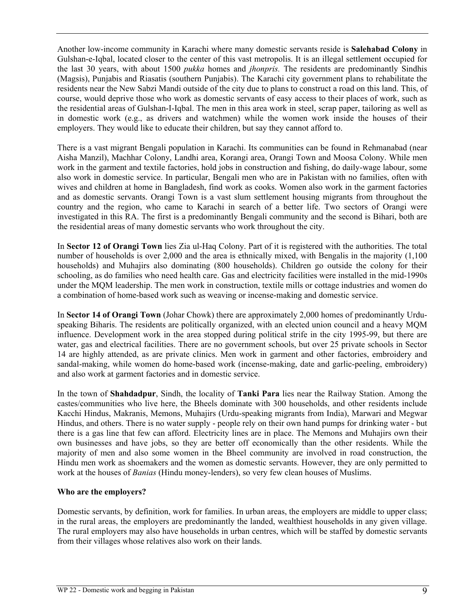Another low-income community in Karachi where many domestic servants reside is **Salehabad Colony** in Gulshan-e-Iqbal, located closer to the center of this vast metropolis. It is an illegal settlement occupied for the last 30 years, with about 1500 *pukka* homes and *jhonpris.* The residents are predominantly Sindhis (Magsis), Punjabis and Riasatis (southern Punjabis). The Karachi city government plans to rehabilitate the residents near the New Sabzi Mandi outside of the city due to plans to construct a road on this land. This, of course, would deprive those who work as domestic servants of easy access to their places of work, such as the residential areas of Gulshan-I-Iqbal. The men in this area work in steel, scrap paper, tailoring as well as in domestic work (e.g., as drivers and watchmen) while the women work inside the houses of their employers. They would like to educate their children, but say they cannot afford to.

There is a vast migrant Bengali population in Karachi. Its communities can be found in Rehmanabad (near Aisha Manzil), Machhar Colony, Landhi area, Korangi area, Orangi Town and Moosa Colony. While men work in the garment and textile factories, hold jobs in construction and fishing, do daily-wage labour, some also work in domestic service. In particular, Bengali men who are in Pakistan with no families, often with wives and children at home in Bangladesh, find work as cooks. Women also work in the garment factories and as domestic servants. Orangi Town is a vast slum settlement housing migrants from throughout the country and the region, who came to Karachi in search of a better life. Two sectors of Orangi were investigated in this RA. The first is a predominantly Bengali community and the second is Bihari, both are the residential areas of many domestic servants who work throughout the city.

In **Sector 12 of Orangi Town** lies Zia ul-Haq Colony. Part of it is registered with the authorities. The total number of households is over 2,000 and the area is ethnically mixed, with Bengalis in the majority (1,100 households) and Muhajirs also dominating (800 households). Children go outside the colony for their schooling, as do families who need health care. Gas and electricity facilities were installed in the mid-1990s under the MQM leadership. The men work in construction, textile mills or cottage industries and women do a combination of home-based work such as weaving or incense-making and domestic service.

In **Sector 14 of Orangi Town** (Johar Chowk) there are approximately 2,000 homes of predominantly Urduspeaking Biharis. The residents are politically organized, with an elected union council and a heavy MQM influence. Development work in the area stopped during political strife in the city 1995-99, but there are water, gas and electrical facilities. There are no government schools, but over 25 private schools in Sector 14 are highly attended, as are private clinics. Men work in garment and other factories, embroidery and sandal-making, while women do home-based work (incense-making, date and garlic-peeling, embroidery) and also work at garment factories and in domestic service.

In the town of **Shahdadpur**, Sindh, the locality of **Tanki Para** lies near the Railway Station. Among the castes/communities who live here, the Bheels dominate with 300 households, and other residents include Kacchi Hindus, Makranis, Memons, Muhajirs (Urdu-speaking migrants from India), Marwari and Megwar Hindus, and others. There is no water supply - people rely on their own hand pumps for drinking water - but there is a gas line that few can afford. Electricity lines are in place. The Memons and Muhajirs own their own businesses and have jobs, so they are better off economically than the other residents. While the majority of men and also some women in the Bheel community are involved in road construction, the Hindu men work as shoemakers and the women as domestic servants. However, they are only permitted to work at the houses of *Banias* (Hindu money-lenders), so very few clean houses of Muslims.

#### **Who are the employers?**

Domestic servants, by definition, work for families. In urban areas, the employers are middle to upper class; in the rural areas, the employers are predominantly the landed, wealthiest households in any given village. The rural employers may also have households in urban centres, which will be staffed by domestic servants from their villages whose relatives also work on their lands.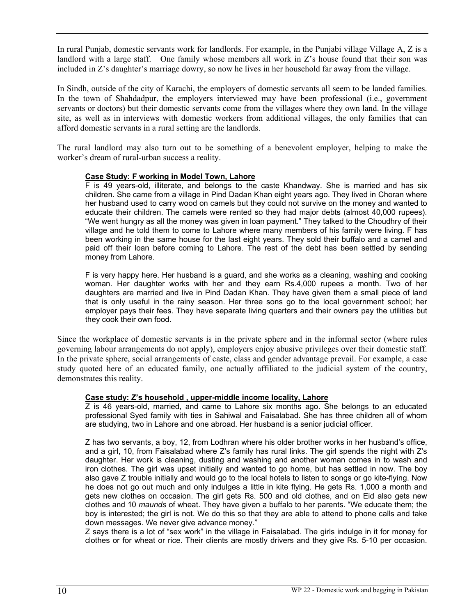In rural Punjab, domestic servants work for landlords. For example, in the Punjabi village Village A, Z is a landlord with a large staff. One family whose members all work in Z's house found that their son was included in Z's daughter's marriage dowry, so now he lives in her household far away from the village.

In Sindh, outside of the city of Karachi, the employers of domestic servants all seem to be landed families. In the town of Shahdadpur, the employers interviewed may have been professional (i.e., government servants or doctors) but their domestic servants come from the villages where they own land. In the village site, as well as in interviews with domestic workers from additional villages, the only families that can afford domestic servants in a rural setting are the landlords.

The rural landlord may also turn out to be something of a benevolent employer, helping to make the worker's dream of rural-urban success a reality.

#### **Case Study: F working in Model Town, Lahore**

F is 49 years-old, illiterate, and belongs to the caste Khandway. She is married and has six children. She came from a village in Pind Dadan Khan eight years ago. They lived in Choran where her husband used to carry wood on camels but they could not survive on the money and wanted to educate their children. The camels were rented so they had major debts (almost 40,000 rupees). "We went hungry as all the money was given in loan payment." They talked to the Choudhry of their village and he told them to come to Lahore where many members of his family were living. F has been working in the same house for the last eight years. They sold their buffalo and a camel and paid off their loan before coming to Lahore. The rest of the debt has been settled by sending money from Lahore.

F is very happy here. Her husband is a guard, and she works as a cleaning, washing and cooking woman. Her daughter works with her and they earn Rs.4,000 rupees a month. Two of her daughters are married and live in Pind Dadan Khan. They have given them a small piece of land that is only useful in the rainy season. Her three sons go to the local government school; her employer pays their fees. They have separate living quarters and their owners pay the utilities but they cook their own food.

Since the workplace of domestic servants is in the private sphere and in the informal sector (where rules governing labour arrangements do not apply), employers enjoy abusive privileges over their domestic staff. In the private sphere, social arrangements of caste, class and gender advantage prevail. For example, a case study quoted here of an educated family, one actually affiliated to the judicial system of the country, demonstrates this reality.

# **Case study: Z's household , upper-middle income locality, Lahore**

Z is 46 years-old, married, and came to Lahore six months ago. She belongs to an educated professional Syed family with ties in Sahiwal and Faisalabad. She has three children all of whom are studying, two in Lahore and one abroad. Her husband is a senior judicial officer.

Z has two servants, a boy, 12, from Lodhran where his older brother works in her husband's office, and a girl, 10, from Faisalabad where Z's family has rural links. The girl spends the night with Z's daughter. Her work is cleaning, dusting and washing and another woman comes in to wash and iron clothes. The girl was upset initially and wanted to go home, but has settled in now. The boy also gave Z trouble initially and would go to the local hotels to listen to songs or go kite-flying. Now he does not go out much and only indulges a little in kite flying. He gets Rs. 1,000 a month and gets new clothes on occasion. The girl gets Rs. 500 and old clothes, and on Eid also gets new clothes and 10 *maunds* of wheat. They have given a buffalo to her parents. "We educate them; the boy is interested; the girl is not. We do this so that they are able to attend to phone calls and take down messages. We never give advance money."

Z says there is a lot of "sex work" in the village in Faisalabad. The girls indulge in it for money for clothes or for wheat or rice. Their clients are mostly drivers and they give Rs. 5-10 per occasion.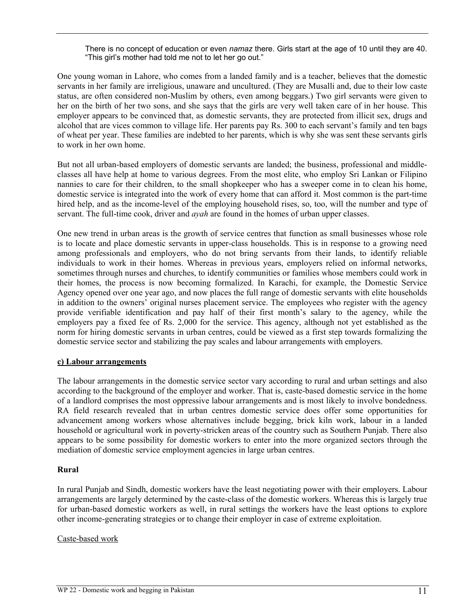There is no concept of education or even *namaz* there. Girls start at the age of 10 until they are 40. "This girl's mother had told me not to let her go out."

One young woman in Lahore, who comes from a landed family and is a teacher, believes that the domestic servants in her family are irreligious, unaware and uncultured. (They are Musalli and, due to their low caste status, are often considered non-Muslim by others, even among beggars.) Two girl servants were given to her on the birth of her two sons, and she says that the girls are very well taken care of in her house. This employer appears to be convinced that, as domestic servants, they are protected from illicit sex, drugs and alcohol that are vices common to village life. Her parents pay Rs. 300 to each servant's family and ten bags of wheat per year. These families are indebted to her parents, which is why she was sent these servants girls to work in her own home.

But not all urban-based employers of domestic servants are landed; the business, professional and middleclasses all have help at home to various degrees. From the most elite, who employ Sri Lankan or Filipino nannies to care for their children, to the small shopkeeper who has a sweeper come in to clean his home, domestic service is integrated into the work of every home that can afford it. Most common is the part-time hired help, and as the income-level of the employing household rises, so, too, will the number and type of servant. The full-time cook, driver and *ayah* are found in the homes of urban upper classes.

One new trend in urban areas is the growth of service centres that function as small businesses whose role is to locate and place domestic servants in upper-class households. This is in response to a growing need among professionals and employers, who do not bring servants from their lands, to identify reliable individuals to work in their homes. Whereas in previous years, employers relied on informal networks, sometimes through nurses and churches, to identify communities or families whose members could work in their homes, the process is now becoming formalized. In Karachi, for example, the Domestic Service Agency opened over one year ago, and now places the full range of domestic servants with elite households in addition to the owners' original nurses placement service. The employees who register with the agency provide verifiable identification and pay half of their first month's salary to the agency, while the employers pay a fixed fee of Rs. 2,000 for the service. This agency, although not yet established as the norm for hiring domestic servants in urban centres, could be viewed as a first step towards formalizing the domestic service sector and stabilizing the pay scales and labour arrangements with employers.

#### **c) Labour arrangements**

The labour arrangements in the domestic service sector vary according to rural and urban settings and also according to the background of the employer and worker. That is, caste-based domestic service in the home of a landlord comprises the most oppressive labour arrangements and is most likely to involve bondedness. RA field research revealed that in urban centres domestic service does offer some opportunities for advancement among workers whose alternatives include begging, brick kiln work, labour in a landed household or agricultural work in poverty-stricken areas of the country such as Southern Punjab. There also appears to be some possibility for domestic workers to enter into the more organized sectors through the mediation of domestic service employment agencies in large urban centres.

#### **Rural**

In rural Punjab and Sindh, domestic workers have the least negotiating power with their employers. Labour arrangements are largely determined by the caste-class of the domestic workers. Whereas this is largely true for urban-based domestic workers as well, in rural settings the workers have the least options to explore other income-generating strategies or to change their employer in case of extreme exploitation.

#### Caste-based work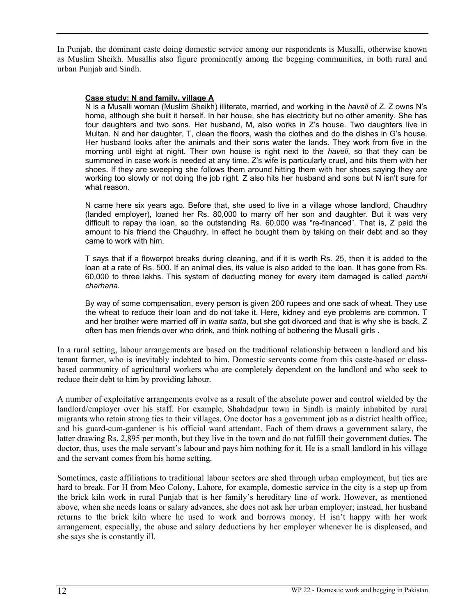In Punjab, the dominant caste doing domestic service among our respondents is Musalli, otherwise known as Muslim Sheikh. Musallis also figure prominently among the begging communities, in both rural and urban Punjab and Sindh.

#### **Case study: N and family, village A**

N is a Musalli woman (Muslim Sheikh) illiterate, married, and working in the *haveli* of Z. Z owns N's home, although she built it herself. In her house, she has electricity but no other amenity. She has four daughters and two sons. Her husband, M, also works in Z's house. Two daughters live in Multan. N and her daughter, T, clean the floors, wash the clothes and do the dishes in G's house. Her husband looks after the animals and their sons water the lands. They work from five in the morning until eight at night. Their own house is right next to the *haveli*, so that they can be summoned in case work is needed at any time. Z's wife is particularly cruel, and hits them with her shoes. If they are sweeping she follows them around hitting them with her shoes saying they are working too slowly or not doing the job right. Z also hits her husband and sons but N isn't sure for what reason.

N came here six years ago. Before that, she used to live in a village whose landlord, Chaudhry (landed employer), loaned her Rs. 80,000 to marry off her son and daughter. But it was very difficult to repay the loan, so the outstanding Rs. 60,000 was "re-financed". That is, Z paid the amount to his friend the Chaudhry. In effect he bought them by taking on their debt and so they came to work with him.

T says that if a flowerpot breaks during cleaning, and if it is worth Rs. 25, then it is added to the loan at a rate of Rs. 500. If an animal dies, its value is also added to the loan. It has gone from Rs. 60,000 to three lakhs. This system of deducting money for every item damaged is called *parchi charhana.*

By way of some compensation, every person is given 200 rupees and one sack of wheat. They use the wheat to reduce their loan and do not take it. Here, kidney and eye problems are common. T and her brother were married off in *watta satta*, but she got divorced and that is why she is back. Z often has men friends over who drink, and think nothing of bothering the Musalli girls .

In a rural setting, labour arrangements are based on the traditional relationship between a landlord and his tenant farmer, who is inevitably indebted to him. Domestic servants come from this caste-based or classbased community of agricultural workers who are completely dependent on the landlord and who seek to reduce their debt to him by providing labour.

A number of exploitative arrangements evolve as a result of the absolute power and control wielded by the landlord/employer over his staff. For example, Shahdadpur town in Sindh is mainly inhabited by rural migrants who retain strong ties to their villages. One doctor has a government job as a district health office, and his guard-cum-gardener is his official ward attendant. Each of them draws a government salary, the latter drawing Rs. 2,895 per month, but they live in the town and do not fulfill their government duties. The doctor, thus, uses the male servant's labour and pays him nothing for it. He is a small landlord in his village and the servant comes from his home setting.

Sometimes, caste affiliations to traditional labour sectors are shed through urban employment, but ties are hard to break. For H from Meo Colony, Lahore, for example, domestic service in the city is a step up from the brick kiln work in rural Punjab that is her family's hereditary line of work. However, as mentioned above, when she needs loans or salary advances, she does not ask her urban employer; instead, her husband returns to the brick kiln where he used to work and borrows money. H isn't happy with her work arrangement, especially, the abuse and salary deductions by her employer whenever he is displeased, and she says she is constantly ill.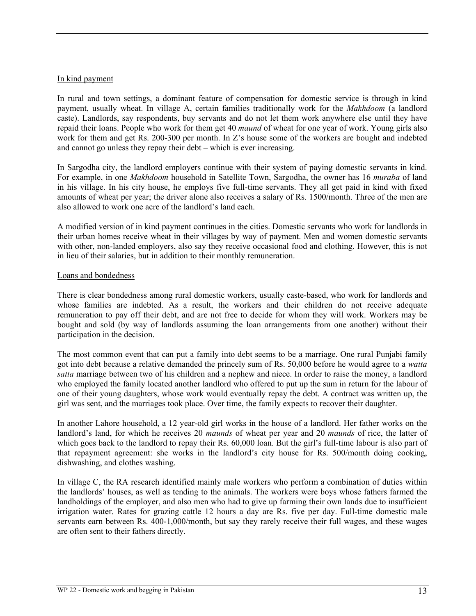#### In kind payment

In rural and town settings, a dominant feature of compensation for domestic service is through in kind payment, usually wheat. In village A, certain families traditionally work for the *Makhdoom* (a landlord caste). Landlords, say respondents, buy servants and do not let them work anywhere else until they have repaid their loans. People who work for them get 40 *maund* of wheat for one year of work. Young girls also work for them and get Rs. 200-300 per month. In Z's house some of the workers are bought and indebted and cannot go unless they repay their debt – which is ever increasing.

In Sargodha city, the landlord employers continue with their system of paying domestic servants in kind. For example, in one *Makhdoom* household in Satellite Town, Sargodha, the owner has 16 *muraba* of land in his village. In his city house, he employs five full-time servants. They all get paid in kind with fixed amounts of wheat per year; the driver alone also receives a salary of Rs. 1500/month. Three of the men are also allowed to work one acre of the landlord's land each.

A modified version of in kind payment continues in the cities. Domestic servants who work for landlords in their urban homes receive wheat in their villages by way of payment. Men and women domestic servants with other, non-landed employers, also say they receive occasional food and clothing. However, this is not in lieu of their salaries, but in addition to their monthly remuneration.

#### Loans and bondedness

There is clear bondedness among rural domestic workers, usually caste-based, who work for landlords and whose families are indebted. As a result, the workers and their children do not receive adequate remuneration to pay off their debt, and are not free to decide for whom they will work. Workers may be bought and sold (by way of landlords assuming the loan arrangements from one another) without their participation in the decision.

The most common event that can put a family into debt seems to be a marriage. One rural Punjabi family got into debt because a relative demanded the princely sum of Rs. 50,000 before he would agree to a *watta satta* marriage between two of his children and a nephew and niece. In order to raise the money, a landlord who employed the family located another landlord who offered to put up the sum in return for the labour of one of their young daughters, whose work would eventually repay the debt. A contract was written up, the girl was sent, and the marriages took place. Over time, the family expects to recover their daughter.

In another Lahore household, a 12 year-old girl works in the house of a landlord. Her father works on the landlord's land, for which he receives 20 *maunds* of wheat per year and 20 *maunds* of rice, the latter of which goes back to the landlord to repay their Rs. 60,000 loan. But the girl's full-time labour is also part of that repayment agreement: she works in the landlord's city house for Rs. 500/month doing cooking, dishwashing, and clothes washing.

In village C, the RA research identified mainly male workers who perform a combination of duties within the landlords' houses, as well as tending to the animals. The workers were boys whose fathers farmed the landholdings of the employer, and also men who had to give up farming their own lands due to insufficient irrigation water. Rates for grazing cattle 12 hours a day are Rs. five per day. Full-time domestic male servants earn between Rs. 400-1,000/month, but say they rarely receive their full wages, and these wages are often sent to their fathers directly.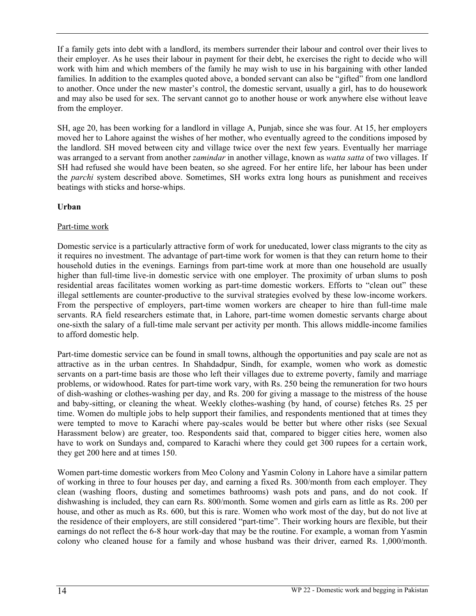If a family gets into debt with a landlord, its members surrender their labour and control over their lives to their employer. As he uses their labour in payment for their debt, he exercises the right to decide who will work with him and which members of the family he may wish to use in his bargaining with other landed families. In addition to the examples quoted above, a bonded servant can also be "gifted" from one landlord to another. Once under the new master's control, the domestic servant, usually a girl, has to do housework and may also be used for sex. The servant cannot go to another house or work anywhere else without leave from the employer.

SH, age 20, has been working for a landlord in village A, Punjab, since she was four. At 15, her employers moved her to Lahore against the wishes of her mother, who eventually agreed to the conditions imposed by the landlord. SH moved between city and village twice over the next few years. Eventually her marriage was arranged to a servant from another *zamindar* in another village, known as *watta satta* of two villages. If SH had refused she would have been beaten, so she agreed. For her entire life, her labour has been under the *parchi* system described above. Sometimes, SH works extra long hours as punishment and receives beatings with sticks and horse-whips.

# **Urban**

#### Part-time work

Domestic service is a particularly attractive form of work for uneducated, lower class migrants to the city as it requires no investment. The advantage of part-time work for women is that they can return home to their household duties in the evenings. Earnings from part-time work at more than one household are usually higher than full-time live-in domestic service with one employer. The proximity of urban slums to posh residential areas facilitates women working as part-time domestic workers. Efforts to "clean out" these illegal settlements are counter-productive to the survival strategies evolved by these low-income workers. From the perspective of employers, part-time women workers are cheaper to hire than full-time male servants. RA field researchers estimate that, in Lahore, part-time women domestic servants charge about one-sixth the salary of a full-time male servant per activity per month. This allows middle-income families to afford domestic help.

Part-time domestic service can be found in small towns, although the opportunities and pay scale are not as attractive as in the urban centres. In Shahdadpur, Sindh, for example, women who work as domestic servants on a part-time basis are those who left their villages due to extreme poverty, family and marriage problems, or widowhood. Rates for part-time work vary, with Rs. 250 being the remuneration for two hours of dish-washing or clothes-washing per day, and Rs. 200 for giving a massage to the mistress of the house and baby-sitting, or cleaning the wheat. Weekly clothes-washing (by hand, of course) fetches Rs. 25 per time. Women do multiple jobs to help support their families, and respondents mentioned that at times they were tempted to move to Karachi where pay-scales would be better but where other risks (see Sexual Harassment below) are greater, too. Respondents said that, compared to bigger cities here, women also have to work on Sundays and, compared to Karachi where they could get 300 rupees for a certain work, they get 200 here and at times 150.

Women part-time domestic workers from Meo Colony and Yasmin Colony in Lahore have a similar pattern of working in three to four houses per day, and earning a fixed Rs. 300/month from each employer. They clean (washing floors, dusting and sometimes bathrooms) wash pots and pans, and do not cook. If dishwashing is included, they can earn Rs. 800/month. Some women and girls earn as little as Rs. 200 per house, and other as much as Rs. 600, but this is rare. Women who work most of the day, but do not live at the residence of their employers, are still considered "part-time". Their working hours are flexible, but their earnings do not reflect the 6-8 hour work-day that may be the routine. For example, a woman from Yasmin colony who cleaned house for a family and whose husband was their driver, earned Rs. 1,000/month.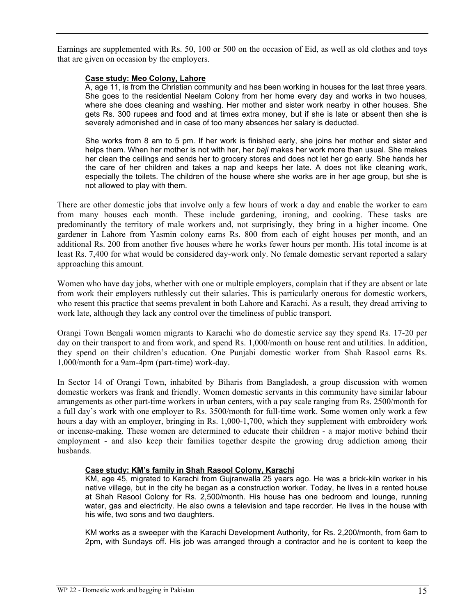Earnings are supplemented with Rs. 50, 100 or 500 on the occasion of Eid, as well as old clothes and toys that are given on occasion by the employers.

#### **Case study: Meo Colony, Lahore**

A, age 11, is from the Christian community and has been working in houses for the last three years. She goes to the residential Neelam Colony from her home every day and works in two houses, where she does cleaning and washing. Her mother and sister work nearby in other houses. She gets Rs. 300 rupees and food and at times extra money, but if she is late or absent then she is severely admonished and in case of too many absences her salary is deducted.

She works from 8 am to 5 pm. If her work is finished early, she joins her mother and sister and helps them. When her mother is not with her, her *baji* makes her work more than usual. She makes her clean the ceilings and sends her to grocery stores and does not let her go early. She hands her the care of her children and takes a nap and keeps her late. A does not like cleaning work, especially the toilets. The children of the house where she works are in her age group, but she is not allowed to play with them.

There are other domestic jobs that involve only a few hours of work a day and enable the worker to earn from many houses each month. These include gardening, ironing, and cooking. These tasks are predominantly the territory of male workers and, not surprisingly, they bring in a higher income. One gardener in Lahore from Yasmin colony earns Rs. 800 from each of eight houses per month, and an additional Rs. 200 from another five houses where he works fewer hours per month. His total income is at least Rs. 7,400 for what would be considered day-work only. No female domestic servant reported a salary approaching this amount.

Women who have day jobs, whether with one or multiple employers, complain that if they are absent or late from work their employers ruthlessly cut their salaries. This is particularly onerous for domestic workers, who resent this practice that seems prevalent in both Lahore and Karachi. As a result, they dread arriving to work late, although they lack any control over the timeliness of public transport.

Orangi Town Bengali women migrants to Karachi who do domestic service say they spend Rs. 17-20 per day on their transport to and from work, and spend Rs. 1,000/month on house rent and utilities. In addition, they spend on their children's education. One Punjabi domestic worker from Shah Rasool earns Rs. 1,000/month for a 9am-4pm (part-time) work-day.

In Sector 14 of Orangi Town, inhabited by Biharis from Bangladesh, a group discussion with women domestic workers was frank and friendly. Women domestic servants in this community have similar labour arrangements as other part-time workers in urban centers, with a pay scale ranging from Rs. 2500/month for a full day's work with one employer to Rs. 3500/month for full-time work. Some women only work a few hours a day with an employer, bringing in Rs. 1,000-1,700, which they supplement with embroidery work or incense-making. These women are determined to educate their children - a major motive behind their employment - and also keep their families together despite the growing drug addiction among their husbands.

#### **Case study: KM's family in Shah Rasool Colony, Karachi**

KM, age 45, migrated to Karachi from Gujranwalla 25 years ago. He was a brick-kiln worker in his native village, but in the city he began as a construction worker. Today, he lives in a rented house at Shah Rasool Colony for Rs. 2,500/month. His house has one bedroom and lounge, running water, gas and electricity. He also owns a television and tape recorder. He lives in the house with his wife, two sons and two daughters.

KM works as a sweeper with the Karachi Development Authority, for Rs. 2,200/month, from 6am to 2pm, with Sundays off. His job was arranged through a contractor and he is content to keep the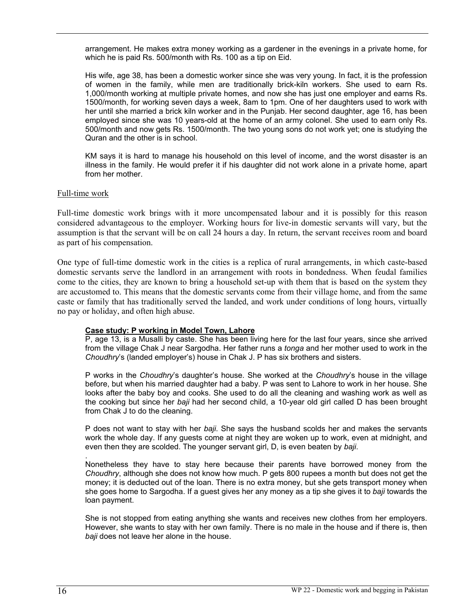arrangement. He makes extra money working as a gardener in the evenings in a private home, for which he is paid Rs. 500/month with Rs. 100 as a tip on Eid.

His wife, age 38, has been a domestic worker since she was very young. In fact, it is the profession of women in the family, while men are traditionally brick-kiln workers. She used to earn Rs. 1,000/month working at multiple private homes, and now she has just one employer and earns Rs. 1500/month, for working seven days a week, 8am to 1pm. One of her daughters used to work with her until she married a brick kiln worker and in the Punjab. Her second daughter, age 16, has been employed since she was 10 years-old at the home of an army colonel. She used to earn only Rs. 500/month and now gets Rs. 1500/month. The two young sons do not work yet; one is studying the Quran and the other is in school.

KM says it is hard to manage his household on this level of income, and the worst disaster is an illness in the family. He would prefer it if his daughter did not work alone in a private home, apart from her mother.

#### Full-time work

Full-time domestic work brings with it more uncompensated labour and it is possibly for this reason considered advantageous to the employer. Working hours for live-in domestic servants will vary, but the assumption is that the servant will be on call 24 hours a day. In return, the servant receives room and board as part of his compensation.

One type of full-time domestic work in the cities is a replica of rural arrangements, in which caste-based domestic servants serve the landlord in an arrangement with roots in bondedness. When feudal families come to the cities, they are known to bring a household set-up with them that is based on the system they are accustomed to. This means that the domestic servants come from their village home, and from the same caste or family that has traditionally served the landed, and work under conditions of long hours, virtually no pay or holiday, and often high abuse.

#### **Case study: P working in Model Town, Lahore**

P, age 13, is a Musalli by caste. She has been living here for the last four years, since she arrived from the village Chak J near Sargodha. Her father runs a *tonga* and her mother used to work in the *Choudhry*'s (landed employer's) house in Chak J. P has six brothers and sisters.

P works in the *Choudhry*'s daughter's house. She worked at the *Choudhry*'s house in the village before, but when his married daughter had a baby. P was sent to Lahore to work in her house. She looks after the baby boy and cooks. She used to do all the cleaning and washing work as well as the cooking but since her *baji* had her second child, a 10-year old girl called D has been brought from Chak J to do the cleaning.

P does not want to stay with her *baji*. She says the husband scolds her and makes the servants work the whole day. If any guests come at night they are woken up to work, even at midnight, and even then they are scolded. The younger servant girl, D, is even beaten by *baji*.

. Nonetheless they have to stay here because their parents have borrowed money from the *Choudhry*, although she does not know how much. P gets 800 rupees a month but does not get the money; it is deducted out of the loan. There is no extra money, but she gets transport money when she goes home to Sargodha. If a guest gives her any money as a tip she gives it to *baji* towards the loan payment.

She is not stopped from eating anything she wants and receives new clothes from her employers. However, she wants to stay with her own family. There is no male in the house and if there is, then *baji* does not leave her alone in the house.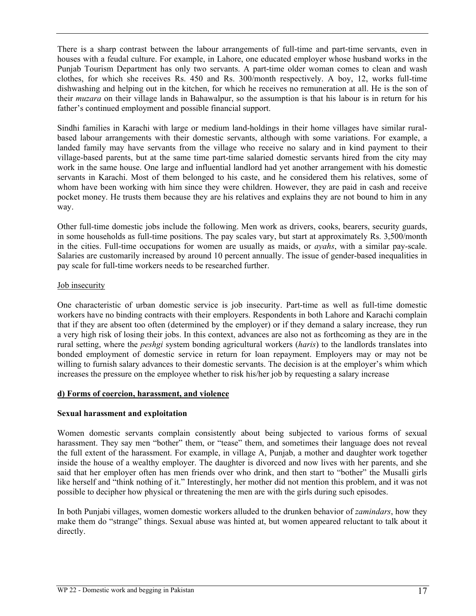There is a sharp contrast between the labour arrangements of full-time and part-time servants, even in houses with a feudal culture. For example, in Lahore, one educated employer whose husband works in the Punjab Tourism Department has only two servants. A part-time older woman comes to clean and wash clothes, for which she receives Rs. 450 and Rs. 300/month respectively. A boy, 12, works full-time dishwashing and helping out in the kitchen, for which he receives no remuneration at all. He is the son of their *muzara* on their village lands in Bahawalpur, so the assumption is that his labour is in return for his father's continued employment and possible financial support.

Sindhi families in Karachi with large or medium land-holdings in their home villages have similar ruralbased labour arrangements with their domestic servants, although with some variations. For example, a landed family may have servants from the village who receive no salary and in kind payment to their village-based parents, but at the same time part-time salaried domestic servants hired from the city may work in the same house. One large and influential landlord had yet another arrangement with his domestic servants in Karachi. Most of them belonged to his caste, and he considered them his relatives, some of whom have been working with him since they were children. However, they are paid in cash and receive pocket money. He trusts them because they are his relatives and explains they are not bound to him in any way.

Other full-time domestic jobs include the following. Men work as drivers, cooks, bearers, security guards, in some households as full-time positions. The pay scales vary, but start at approximately Rs. 3,500/month in the cities. Full-time occupations for women are usually as maids, or *ayahs*, with a similar pay-scale. Salaries are customarily increased by around 10 percent annually. The issue of gender-based inequalities in pay scale for full-time workers needs to be researched further.

#### Job insecurity

One characteristic of urban domestic service is job insecurity. Part-time as well as full-time domestic workers have no binding contracts with their employers. Respondents in both Lahore and Karachi complain that if they are absent too often (determined by the employer) or if they demand a salary increase, they run a very high risk of losing their jobs. In this context, advances are also not as forthcoming as they are in the rural setting, where the *peshgi* system bonding agricultural workers (*haris*) to the landlords translates into bonded employment of domestic service in return for loan repayment. Employers may or may not be willing to furnish salary advances to their domestic servants. The decision is at the employer's whim which increases the pressure on the employee whether to risk his/her job by requesting a salary increase

# **d) Forms of coercion, harassment, and violence**

# **Sexual harassment and exploitation**

Women domestic servants complain consistently about being subjected to various forms of sexual harassment. They say men "bother" them, or "tease" them, and sometimes their language does not reveal the full extent of the harassment. For example, in village A, Punjab, a mother and daughter work together inside the house of a wealthy employer. The daughter is divorced and now lives with her parents, and she said that her employer often has men friends over who drink, and then start to "bother" the Musalli girls like herself and "think nothing of it." Interestingly, her mother did not mention this problem, and it was not possible to decipher how physical or threatening the men are with the girls during such episodes.

In both Punjabi villages, women domestic workers alluded to the drunken behavior of *zamindars*, how they make them do "strange" things. Sexual abuse was hinted at, but women appeared reluctant to talk about it directly.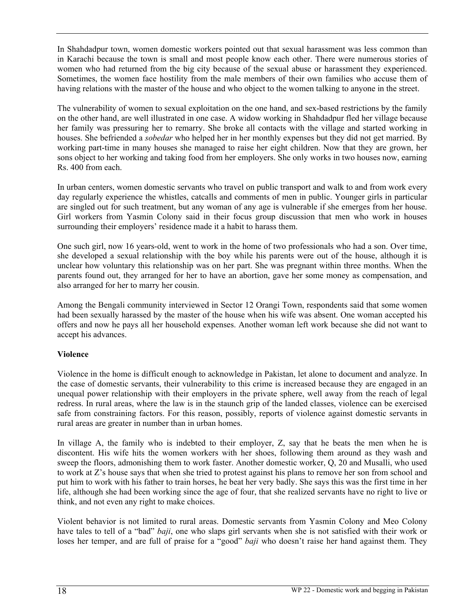In Shahdadpur town, women domestic workers pointed out that sexual harassment was less common than in Karachi because the town is small and most people know each other. There were numerous stories of women who had returned from the big city because of the sexual abuse or harassment they experienced. Sometimes, the women face hostility from the male members of their own families who accuse them of having relations with the master of the house and who object to the women talking to anyone in the street.

The vulnerability of women to sexual exploitation on the one hand, and sex-based restrictions by the family on the other hand, are well illustrated in one case. A widow working in Shahdadpur fled her village because her family was pressuring her to remarry. She broke all contacts with the village and started working in houses. She befriended a *sobedar* who helped her in her monthly expenses but they did not get married. By working part-time in many houses she managed to raise her eight children. Now that they are grown, her sons object to her working and taking food from her employers. She only works in two houses now, earning Rs. 400 from each.

In urban centers, women domestic servants who travel on public transport and walk to and from work every day regularly experience the whistles, catcalls and comments of men in public. Younger girls in particular are singled out for such treatment, but any woman of any age is vulnerable if she emerges from her house. Girl workers from Yasmin Colony said in their focus group discussion that men who work in houses surrounding their employers' residence made it a habit to harass them.

One such girl, now 16 years-old, went to work in the home of two professionals who had a son. Over time, she developed a sexual relationship with the boy while his parents were out of the house, although it is unclear how voluntary this relationship was on her part. She was pregnant within three months. When the parents found out, they arranged for her to have an abortion, gave her some money as compensation, and also arranged for her to marry her cousin.

Among the Bengali community interviewed in Sector 12 Orangi Town, respondents said that some women had been sexually harassed by the master of the house when his wife was absent. One woman accepted his offers and now he pays all her household expenses. Another woman left work because she did not want to accept his advances.

# **Violence**

Violence in the home is difficult enough to acknowledge in Pakistan, let alone to document and analyze. In the case of domestic servants, their vulnerability to this crime is increased because they are engaged in an unequal power relationship with their employers in the private sphere, well away from the reach of legal redress. In rural areas, where the law is in the staunch grip of the landed classes, violence can be exercised safe from constraining factors. For this reason, possibly, reports of violence against domestic servants in rural areas are greater in number than in urban homes.

In village A, the family who is indebted to their employer, Z, say that he beats the men when he is discontent. His wife hits the women workers with her shoes, following them around as they wash and sweep the floors, admonishing them to work faster. Another domestic worker, Q, 20 and Musalli, who used to work at Z's house says that when she tried to protest against his plans to remove her son from school and put him to work with his father to train horses, he beat her very badly. She says this was the first time in her life, although she had been working since the age of four, that she realized servants have no right to live or think, and not even any right to make choices.

Violent behavior is not limited to rural areas. Domestic servants from Yasmin Colony and Meo Colony have tales to tell of a "bad" *baji*, one who slaps girl servants when she is not satisfied with their work or loses her temper, and are full of praise for a "good" *baji* who doesn't raise her hand against them. They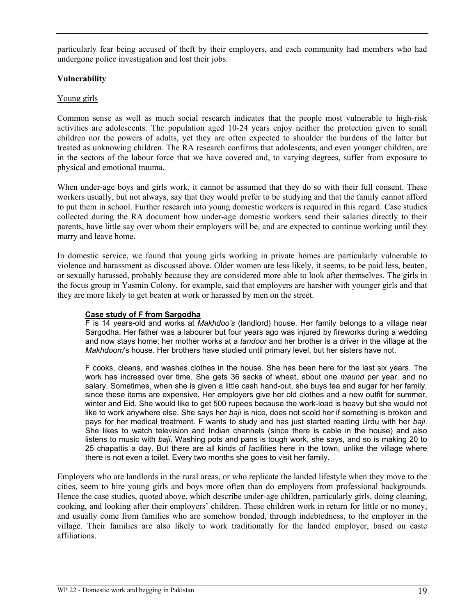particularly fear being accused of theft by their employers, and each community had members who had undergone police investigation and lost their jobs.

### **Vulnerability**

### Young girls

Common sense as well as much social research indicates that the people most vulnerable to high-risk activities are adolescents. The population aged 10-24 years enjoy neither the protection given to small children nor the powers of adults, yet they are often expected to shoulder the burdens of the latter but treated as unknowing children. The RA research confirms that adolescents, and even younger children, are in the sectors of the labour force that we have covered and, to varying degrees, suffer from exposure to physical and emotional trauma.

When under-age boys and girls work, it cannot be assumed that they do so with their full consent. These workers usually, but not always, say that they would prefer to be studying and that the family cannot afford to put them in school. Further research into young domestic workers is required in this regard. Case studies collected during the RA document how under-age domestic workers send their salaries directly to their parents, have little say over whom their employers will be, and are expected to continue working until they marry and leave home.

In domestic service, we found that young girls working in private homes are particularly vulnerable to violence and harassment as discussed above. Older women are less likely, it seems, to be paid less, beaten, or sexually harassed, probably because they are considered more able to look after themselves. The girls in the focus group in Yasmin Colony, for example, said that employers are harsher with younger girls and that they are more likely to get beaten at work or harassed by men on the street.

#### **Case study of F from Sargodha**

F is 14 years-old and works at *Makhdoo's* (landlord) house. Her family belongs to a village near Sargodha. Her father was a labourer but four years ago was injured by fireworks during a wedding and now stays home; her mother works at a *tandoor* and her brother is a driver in the village at the *Makhdoom*'s house. Her brothers have studied until primary level, but her sisters have not.

F cooks, cleans, and washes clothes in the house. She has been here for the last six years. The work has increased over time. She gets 36 sacks of wheat, about one *maund* per year, and no salary. Sometimes, when she is given a little cash hand-out, she buys tea and sugar for her family, since these items are expensive. Her employers give her old clothes and a new outfit for summer, winter and Eid. She would like to get 500 rupees because the work-load is heavy but she would not like to work anywhere else. She says her *baji* is nice, does not scold her if something is broken and pays for her medical treatment. F wants to study and has just started reading Urdu with her *baji*. She likes to watch television and Indian channels (since there is cable in the house) and also listens to music with *baji*. Washing pots and pans is tough work, she says, and so is making 20 to 25 chapattis a day. But there are all kinds of facilities here in the town, unlike the village where there is not even a toilet. Every two months she goes to visit her family.

Employers who are landlords in the rural areas, or who replicate the landed lifestyle when they move to the cities, seem to hire young girls and boys more often than do employers from professional backgrounds. Hence the case studies, quoted above, which describe under-age children, particularly girls, doing cleaning, cooking, and looking after their employers' children. These children work in return for little or no money, and usually come from families who are somehow bonded, through indebtedness, to the employer in the village. Their families are also likely to work traditionally for the landed employer, based on caste affiliations.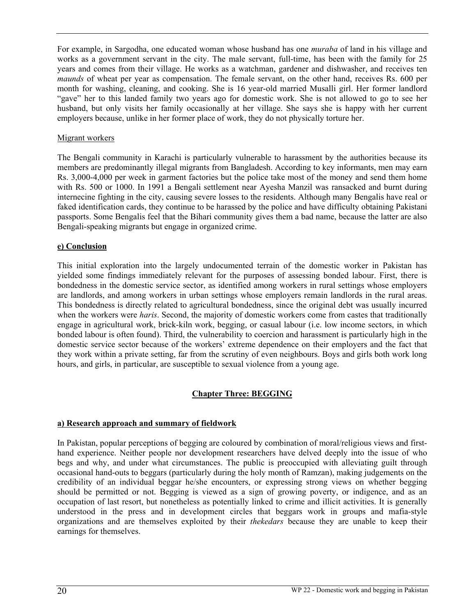For example, in Sargodha, one educated woman whose husband has one *muraba* of land in his village and works as a government servant in the city. The male servant, full-time, has been with the family for 25 years and comes from their village. He works as a watchman, gardener and dishwasher, and receives ten *maunds* of wheat per year as compensation. The female servant, on the other hand, receives Rs. 600 per month for washing, cleaning, and cooking. She is 16 year-old married Musalli girl. Her former landlord "gave" her to this landed family two years ago for domestic work. She is not allowed to go to see her husband, but only visits her family occasionally at her village. She says she is happy with her current employers because, unlike in her former place of work, they do not physically torture her.

#### Migrant workers

The Bengali community in Karachi is particularly vulnerable to harassment by the authorities because its members are predominantly illegal migrants from Bangladesh. According to key informants, men may earn Rs. 3,000-4,000 per week in garment factories but the police take most of the money and send them home with Rs. 500 or 1000. In 1991 a Bengali settlement near Ayesha Manzil was ransacked and burnt during internecine fighting in the city, causing severe losses to the residents. Although many Bengalis have real or faked identification cards, they continue to be harassed by the police and have difficulty obtaining Pakistani passports. Some Bengalis feel that the Bihari community gives them a bad name, because the latter are also Bengali-speaking migrants but engage in organized crime.

# **e) Conclusion**

This initial exploration into the largely undocumented terrain of the domestic worker in Pakistan has yielded some findings immediately relevant for the purposes of assessing bonded labour. First, there is bondedness in the domestic service sector, as identified among workers in rural settings whose employers are landlords, and among workers in urban settings whose employers remain landlords in the rural areas. This bondedness is directly related to agricultural bondedness, since the original debt was usually incurred when the workers were *haris*. Second, the majority of domestic workers come from castes that traditionally engage in agricultural work, brick-kiln work, begging, or casual labour (i.e. low income sectors, in which bonded labour is often found). Third, the vulnerability to coercion and harassment is particularly high in the domestic service sector because of the workers' extreme dependence on their employers and the fact that they work within a private setting, far from the scrutiny of even neighbours. Boys and girls both work long hours, and girls, in particular, are susceptible to sexual violence from a young age.

# **Chapter Three: BEGGING**

# **a) Research approach and summary of fieldwork**

In Pakistan, popular perceptions of begging are coloured by combination of moral/religious views and firsthand experience. Neither people nor development researchers have delved deeply into the issue of who begs and why, and under what circumstances. The public is preoccupied with alleviating guilt through occasional hand-outs to beggars (particularly during the holy month of Ramzan), making judgements on the credibility of an individual beggar he/she encounters, or expressing strong views on whether begging should be permitted or not. Begging is viewed as a sign of growing poverty, or indigence, and as an occupation of last resort, but nonetheless as potentially linked to crime and illicit activities. It is generally understood in the press and in development circles that beggars work in groups and mafia-style organizations and are themselves exploited by their *thekedars* because they are unable to keep their earnings for themselves.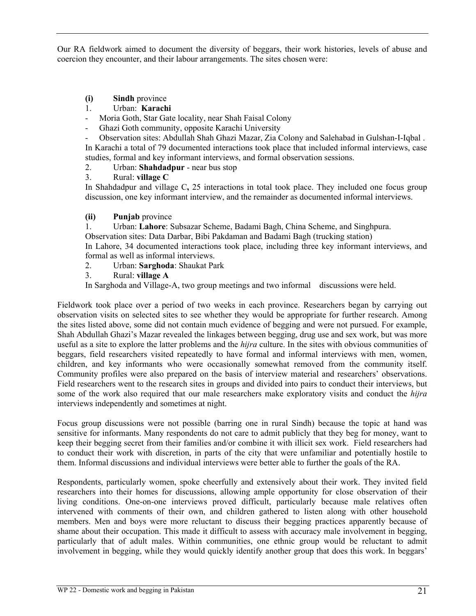Our RA fieldwork aimed to document the diversity of beggars, their work histories, levels of abuse and coercion they encounter, and their labour arrangements. The sites chosen were:

# **(i) Sindh** province

# 1. Urban: **Karachi**

- Moria Goth, Star Gate locality, near Shah Faisal Colony
- Ghazi Goth community, opposite Karachi University
- Observation sites: Abdullah Shah Ghazi Mazar, Zia Colony and Salehabad in Gulshan-I-Iqbal .

In Karachi a total of 79 documented interactions took place that included informal interviews, case studies, formal and key informant interviews, and formal observation sessions.

- 2. Urban: **Shahdadpur** near bus stop
- 3. Rural: **village C**

In Shahdadpur and village C**,** 25 interactions in total took place. They included one focus group discussion, one key informant interview, and the remainder as documented informal interviews.

# **(ii) Punjab** province

1. Urban: **Lahore**: Subsazar Scheme, Badami Bagh, China Scheme, and Singhpura.

Observation sites: Data Darbar, Bibi Pakdaman and Badami Bagh (trucking station)

In Lahore, 34 documented interactions took place, including three key informant interviews, and formal as well as informal interviews.

- 2. Urban: **Sarghoda**: Shaukat Park
- 3. Rural: **village A**

In Sarghoda and Village-A, two group meetings and two informal discussions were held.

Fieldwork took place over a period of two weeks in each province. Researchers began by carrying out observation visits on selected sites to see whether they would be appropriate for further research. Among the sites listed above, some did not contain much evidence of begging and were not pursued. For example, Shah Abdullah Ghazi's Mazar revealed the linkages between begging, drug use and sex work, but was more useful as a site to explore the latter problems and the *hijra* culture. In the sites with obvious communities of beggars, field researchers visited repeatedly to have formal and informal interviews with men, women, children, and key informants who were occasionally somewhat removed from the community itself. Community profiles were also prepared on the basis of interview material and researchers' observations. Field researchers went to the research sites in groups and divided into pairs to conduct their interviews, but some of the work also required that our male researchers make exploratory visits and conduct the *hijra* interviews independently and sometimes at night.

Focus group discussions were not possible (barring one in rural Sindh) because the topic at hand was sensitive for informants. Many respondents do not care to admit publicly that they beg for money, want to keep their begging secret from their families and/or combine it with illicit sex work. Field researchers had to conduct their work with discretion, in parts of the city that were unfamiliar and potentially hostile to them. Informal discussions and individual interviews were better able to further the goals of the RA.

Respondents, particularly women, spoke cheerfully and extensively about their work. They invited field researchers into their homes for discussions, allowing ample opportunity for close observation of their living conditions. One-on-one interviews proved difficult, particularly because male relatives often intervened with comments of their own, and children gathered to listen along with other household members. Men and boys were more reluctant to discuss their begging practices apparently because of shame about their occupation. This made it difficult to assess with accuracy male involvement in begging, particularly that of adult males. Within communities, one ethnic group would be reluctant to admit involvement in begging, while they would quickly identify another group that does this work. In beggars'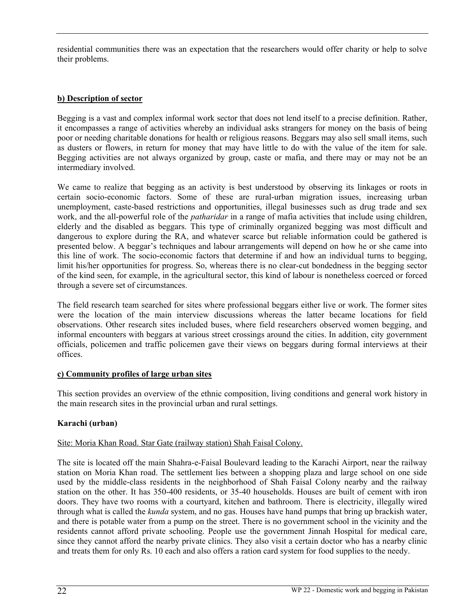residential communities there was an expectation that the researchers would offer charity or help to solve their problems.

# **b) Description of sector**

Begging is a vast and complex informal work sector that does not lend itself to a precise definition. Rather, it encompasses a range of activities whereby an individual asks strangers for money on the basis of being poor or needing charitable donations for health or religious reasons. Beggars may also sell small items, such as dusters or flowers, in return for money that may have little to do with the value of the item for sale. Begging activities are not always organized by group, caste or mafia, and there may or may not be an intermediary involved.

We came to realize that begging as an activity is best understood by observing its linkages or roots in certain socio-economic factors. Some of these are rural-urban migration issues, increasing urban unemployment, caste-based restrictions and opportunities, illegal businesses such as drug trade and sex work, and the all-powerful role of the *patharidar* in a range of mafia activities that include using children, elderly and the disabled as beggars. This type of criminally organized begging was most difficult and dangerous to explore during the RA, and whatever scarce but reliable information could be gathered is presented below. A beggar's techniques and labour arrangements will depend on how he or she came into this line of work. The socio-economic factors that determine if and how an individual turns to begging, limit his/her opportunities for progress. So, whereas there is no clear-cut bondedness in the begging sector of the kind seen, for example, in the agricultural sector, this kind of labour is nonetheless coerced or forced through a severe set of circumstances.

The field research team searched for sites where professional beggars either live or work. The former sites were the location of the main interview discussions whereas the latter became locations for field observations. Other research sites included buses, where field researchers observed women begging, and informal encounters with beggars at various street crossings around the cities. In addition, city government officials, policemen and traffic policemen gave their views on beggars during formal interviews at their offices.

# **c) Community profiles of large urban sites**

This section provides an overview of the ethnic composition, living conditions and general work history in the main research sites in the provincial urban and rural settings.

# **Karachi (urban)**

# Site: Moria Khan Road. Star Gate (railway station) Shah Faisal Colony.

The site is located off the main Shahra-e-Faisal Boulevard leading to the Karachi Airport, near the railway station on Moria Khan road. The settlement lies between a shopping plaza and large school on one side used by the middle-class residents in the neighborhood of Shah Faisal Colony nearby and the railway station on the other. It has 350-400 residents, or 35-40 households. Houses are built of cement with iron doors. They have two rooms with a courtyard, kitchen and bathroom. There is electricity, illegally wired through what is called the *kunda* system, and no gas. Houses have hand pumps that bring up brackish water, and there is potable water from a pump on the street. There is no government school in the vicinity and the residents cannot afford private schooling. People use the government Jinnah Hospital for medical care, since they cannot afford the nearby private clinics. They also visit a certain doctor who has a nearby clinic and treats them for only Rs. 10 each and also offers a ration card system for food supplies to the needy.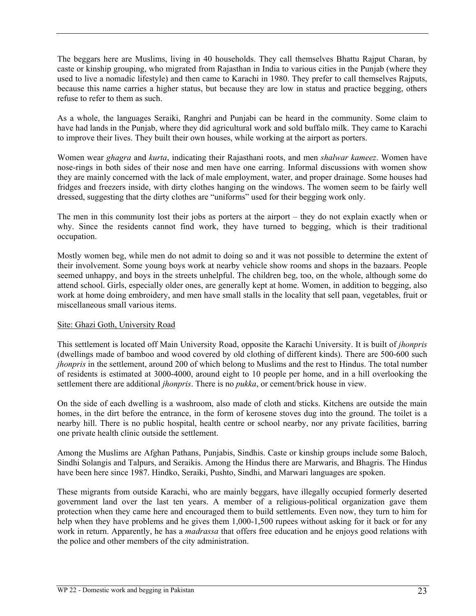The beggars here are Muslims, living in 40 households. They call themselves Bhattu Rajput Charan, by caste or kinship grouping, who migrated from Rajasthan in India to various cities in the Punjab (where they used to live a nomadic lifestyle) and then came to Karachi in 1980. They prefer to call themselves Rajputs, because this name carries a higher status, but because they are low in status and practice begging, others refuse to refer to them as such.

As a whole, the languages Seraiki, Ranghri and Punjabi can be heard in the community. Some claim to have had lands in the Punjab, where they did agricultural work and sold buffalo milk. They came to Karachi to improve their lives. They built their own houses, while working at the airport as porters.

Women wear *ghagra* and *kurta*, indicating their Rajasthani roots, and men *shalwar kameez*. Women have nose-rings in both sides of their nose and men have one earring. Informal discussions with women show they are mainly concerned with the lack of male employment, water, and proper drainage. Some houses had fridges and freezers inside, with dirty clothes hanging on the windows. The women seem to be fairly well dressed, suggesting that the dirty clothes are "uniforms" used for their begging work only.

The men in this community lost their jobs as porters at the airport – they do not explain exactly when or why. Since the residents cannot find work, they have turned to begging, which is their traditional occupation.

Mostly women beg, while men do not admit to doing so and it was not possible to determine the extent of their involvement. Some young boys work at nearby vehicle show rooms and shops in the bazaars. People seemed unhappy, and boys in the streets unhelpful. The children beg, too, on the whole, although some do attend school. Girls, especially older ones, are generally kept at home. Women, in addition to begging, also work at home doing embroidery, and men have small stalls in the locality that sell paan, vegetables, fruit or miscellaneous small various items.

#### Site: Ghazi Goth, University Road

This settlement is located off Main University Road, opposite the Karachi University. It is built of *jhonpris* (dwellings made of bamboo and wood covered by old clothing of different kinds). There are 500-600 such *jhonpris* in the settlement, around 200 of which belong to Muslims and the rest to Hindus. The total number of residents is estimated at 3000-4000, around eight to 10 people per home, and in a hill overlooking the settlement there are additional *jhonpris*. There is no *pukka*, or cement/brick house in view.

On the side of each dwelling is a washroom, also made of cloth and sticks. Kitchens are outside the main homes, in the dirt before the entrance, in the form of kerosene stoves dug into the ground. The toilet is a nearby hill. There is no public hospital, health centre or school nearby, nor any private facilities, barring one private health clinic outside the settlement.

Among the Muslims are Afghan Pathans, Punjabis, Sindhis. Caste or kinship groups include some Baloch, Sindhi Solangis and Talpurs, and Seraikis. Among the Hindus there are Marwaris, and Bhagris. The Hindus have been here since 1987. Hindko, Seraiki, Pushto, Sindhi, and Marwari languages are spoken.

These migrants from outside Karachi, who are mainly beggars, have illegally occupied formerly deserted government land over the last ten years. A member of a religious-political organization gave them protection when they came here and encouraged them to build settlements. Even now, they turn to him for help when they have problems and he gives them 1,000-1,500 rupees without asking for it back or for any work in return. Apparently, he has a *madrassa* that offers free education and he enjoys good relations with the police and other members of the city administration.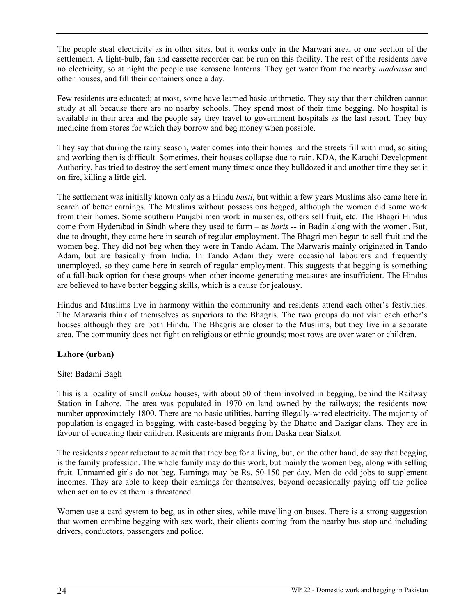The people steal electricity as in other sites, but it works only in the Marwari area, or one section of the settlement. A light-bulb, fan and cassette recorder can be run on this facility. The rest of the residents have no electricity, so at night the people use kerosene lanterns. They get water from the nearby *madrassa* and other houses, and fill their containers once a day.

Few residents are educated; at most, some have learned basic arithmetic. They say that their children cannot study at all because there are no nearby schools. They spend most of their time begging. No hospital is available in their area and the people say they travel to government hospitals as the last resort. They buy medicine from stores for which they borrow and beg money when possible.

They say that during the rainy season, water comes into their homes and the streets fill with mud, so siting and working then is difficult. Sometimes, their houses collapse due to rain. KDA, the Karachi Development Authority, has tried to destroy the settlement many times: once they bulldozed it and another time they set it on fire, killing a little girl.

The settlement was initially known only as a Hindu *basti*, but within a few years Muslims also came here in search of better earnings. The Muslims without possessions begged, although the women did some work from their homes. Some southern Punjabi men work in nurseries, others sell fruit, etc. The Bhagri Hindus come from Hyderabad in Sindh where they used to farm – as *haris* -- in Badin along with the women. But, due to drought, they came here in search of regular employment. The Bhagri men began to sell fruit and the women beg. They did not beg when they were in Tando Adam. The Marwaris mainly originated in Tando Adam, but are basically from India. In Tando Adam they were occasional labourers and frequently unemployed, so they came here in search of regular employment. This suggests that begging is something of a fall-back option for these groups when other income-generating measures are insufficient. The Hindus are believed to have better begging skills, which is a cause for jealousy.

Hindus and Muslims live in harmony within the community and residents attend each other's festivities. The Marwaris think of themselves as superiors to the Bhagris. The two groups do not visit each other's houses although they are both Hindu. The Bhagris are closer to the Muslims, but they live in a separate area. The community does not fight on religious or ethnic grounds; most rows are over water or children.

# **Lahore (urban)**

# Site: Badami Bagh

This is a locality of small *pukka* houses, with about 50 of them involved in begging, behind the Railway Station in Lahore. The area was populated in 1970 on land owned by the railways; the residents now number approximately 1800. There are no basic utilities, barring illegally-wired electricity. The majority of population is engaged in begging, with caste-based begging by the Bhatto and Bazigar clans. They are in favour of educating their children. Residents are migrants from Daska near Sialkot.

The residents appear reluctant to admit that they beg for a living, but, on the other hand, do say that begging is the family profession. The whole family may do this work, but mainly the women beg, along with selling fruit. Unmarried girls do not beg. Earnings may be Rs. 50-150 per day. Men do odd jobs to supplement incomes. They are able to keep their earnings for themselves, beyond occasionally paying off the police when action to evict them is threatened.

Women use a card system to beg, as in other sites, while travelling on buses. There is a strong suggestion that women combine begging with sex work, their clients coming from the nearby bus stop and including drivers, conductors, passengers and police.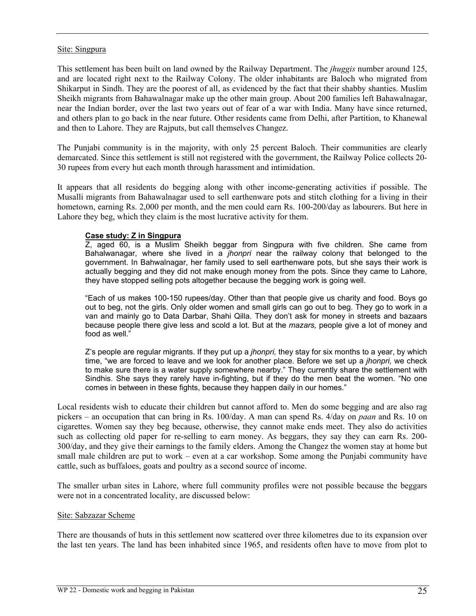#### Site: Singpura

This settlement has been built on land owned by the Railway Department. The *jhuggis* number around 125, and are located right next to the Railway Colony. The older inhabitants are Baloch who migrated from Shikarput in Sindh. They are the poorest of all, as evidenced by the fact that their shabby shanties. Muslim Sheikh migrants from Bahawalnagar make up the other main group. About 200 families left Bahawalnagar, near the Indian border, over the last two years out of fear of a war with India. Many have since returned, and others plan to go back in the near future. Other residents came from Delhi, after Partition, to Khanewal and then to Lahore. They are Rajputs, but call themselves Changez.

The Punjabi community is in the majority, with only 25 percent Baloch. Their communities are clearly demarcated. Since this settlement is still not registered with the government, the Railway Police collects 20- 30 rupees from every hut each month through harassment and intimidation.

It appears that all residents do begging along with other income-generating activities if possible. The Musalli migrants from Bahawalnagar used to sell earthenware pots and stitch clothing for a living in their hometown, earning Rs. 2,000 per month, and the men could earn Rs. 100-200/day as labourers. But here in Lahore they beg, which they claim is the most lucrative activity for them.

#### **Case study: Z in Singpura**

Z, aged 60, is a Muslim Sheikh beggar from Singpura with five children. She came from Bahalwanagar, where she lived in a *jhonpri* near the railway colony that belonged to the government. In Bahwalnagar, her family used to sell earthenware pots, but she says their work is actually begging and they did not make enough money from the pots. Since they came to Lahore, they have stopped selling pots altogether because the begging work is going well.

"Each of us makes 100-150 rupees/day. Other than that people give us charity and food. Boys go out to beg, not the girls. Only older women and small girls can go out to beg. They go to work in a van and mainly go to Data Darbar, Shahi Qilla. They don't ask for money in streets and bazaars because people there give less and scold a lot. But at the *mazars,* people give a lot of money and food as well."

Z's people are regular migrants. If they put up a *jhonpri,* they stay for six months to a year, by which time, "we are forced to leave and we look for another place. Before we set up a *jhonpri,* we check to make sure there is a water supply somewhere nearby." They currently share the settlement with Sindhis. She says they rarely have in-fighting, but if they do the men beat the women. "No one comes in between in these fights, because they happen daily in our homes."

Local residents wish to educate their children but cannot afford to. Men do some begging and are also rag pickers – an occupation that can bring in Rs. 100/day. A man can spend Rs. 4/day on *paan* and Rs. 10 on cigarettes. Women say they beg because, otherwise, they cannot make ends meet. They also do activities such as collecting old paper for re-selling to earn money. As beggars, they say they can earn Rs. 200- 300/day, and they give their earnings to the family elders. Among the Changez the women stay at home but small male children are put to work – even at a car workshop. Some among the Punjabi community have cattle, such as buffaloes, goats and poultry as a second source of income.

The smaller urban sites in Lahore, where full community profiles were not possible because the beggars were not in a concentrated locality, are discussed below:

#### Site: Sabzazar Scheme

There are thousands of huts in this settlement now scattered over three kilometres due to its expansion over the last ten years. The land has been inhabited since 1965, and residents often have to move from plot to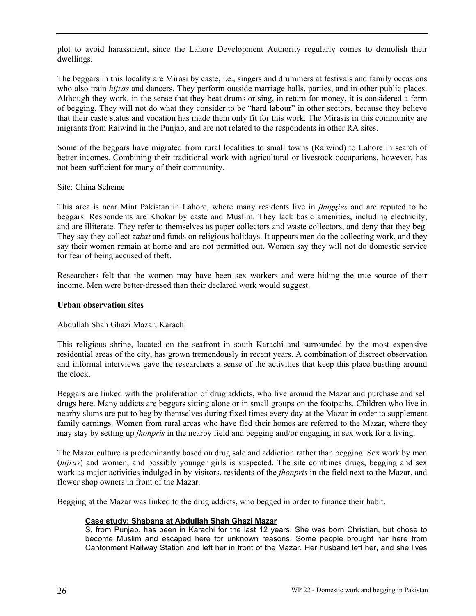plot to avoid harassment, since the Lahore Development Authority regularly comes to demolish their dwellings.

The beggars in this locality are Mirasi by caste, i.e., singers and drummers at festivals and family occasions who also train *hijras* and dancers. They perform outside marriage halls, parties, and in other public places. Although they work, in the sense that they beat drums or sing, in return for money, it is considered a form of begging. They will not do what they consider to be "hard labour" in other sectors, because they believe that their caste status and vocation has made them only fit for this work. The Mirasis in this community are migrants from Raiwind in the Punjab, and are not related to the respondents in other RA sites.

Some of the beggars have migrated from rural localities to small towns (Raiwind) to Lahore in search of better incomes. Combining their traditional work with agricultural or livestock occupations, however, has not been sufficient for many of their community.

#### Site: China Scheme

This area is near Mint Pakistan in Lahore, where many residents live in *jhuggies* and are reputed to be beggars. Respondents are Khokar by caste and Muslim. They lack basic amenities, including electricity, and are illiterate. They refer to themselves as paper collectors and waste collectors, and deny that they beg. They say they collect *zakat* and funds on religious holidays. It appears men do the collecting work, and they say their women remain at home and are not permitted out. Women say they will not do domestic service for fear of being accused of theft.

Researchers felt that the women may have been sex workers and were hiding the true source of their income. Men were better-dressed than their declared work would suggest.

#### **Urban observation sites**

# Abdullah Shah Ghazi Mazar, Karachi

This religious shrine, located on the seafront in south Karachi and surrounded by the most expensive residential areas of the city, has grown tremendously in recent years. A combination of discreet observation and informal interviews gave the researchers a sense of the activities that keep this place bustling around the clock.

Beggars are linked with the proliferation of drug addicts, who live around the Mazar and purchase and sell drugs here. Many addicts are beggars sitting alone or in small groups on the footpaths. Children who live in nearby slums are put to beg by themselves during fixed times every day at the Mazar in order to supplement family earnings. Women from rural areas who have fled their homes are referred to the Mazar, where they may stay by setting up *jhonpris* in the nearby field and begging and/or engaging in sex work for a living.

The Mazar culture is predominantly based on drug sale and addiction rather than begging. Sex work by men (*hijras*) and women, and possibly younger girls is suspected. The site combines drugs, begging and sex work as major activities indulged in by visitors, residents of the *jhonpris* in the field next to the Mazar, and flower shop owners in front of the Mazar.

Begging at the Mazar was linked to the drug addicts, who begged in order to finance their habit.

#### **Case study: Shabana at Abdullah Shah Ghazi Mazar**

S, from Punjab, has been in Karachi for the last 12 years. She was born Christian, but chose to become Muslim and escaped here for unknown reasons. Some people brought her here from Cantonment Railway Station and left her in front of the Mazar. Her husband left her, and she lives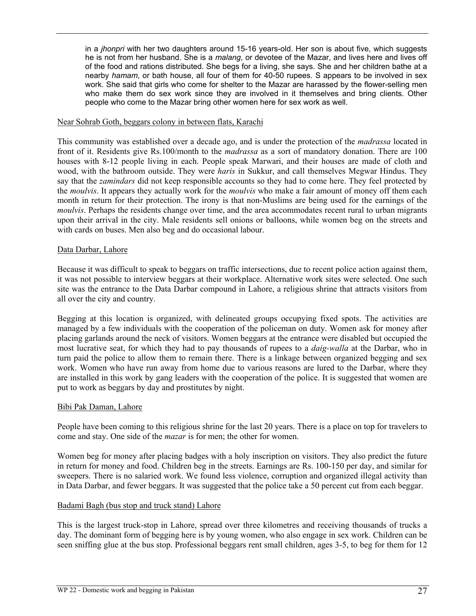in a *jhonpri* with her two daughters around 15-16 years-old. Her son is about five, which suggests he is not from her husband. She is a *malang*, or devotee of the Mazar, and lives here and lives off of the food and rations distributed. She begs for a living, she says. She and her children bathe at a nearby *hamam*, or bath house, all four of them for 40-50 rupees. S appears to be involved in sex work. She said that girls who come for shelter to the Mazar are harassed by the flower-selling men who make them do sex work since they are involved in it themselves and bring clients. Other people who come to the Mazar bring other women here for sex work as well.

#### Near Sohrab Goth, beggars colony in between flats, Karachi

This community was established over a decade ago, and is under the protection of the *madrassa* located in front of it. Residents give Rs.100/month to the *madrassa* as a sort of mandatory donation. There are 100 houses with 8-12 people living in each. People speak Marwari, and their houses are made of cloth and wood, with the bathroom outside. They were *haris* in Sukkur, and call themselves Megwar Hindus. They say that the *zamindars* did not keep responsible accounts so they had to come here. They feel protected by the *moulvis*. It appears they actually work for the *moulvis* who make a fair amount of money off them each month in return for their protection. The irony is that non-Muslims are being used for the earnings of the *moulvis*. Perhaps the residents change over time, and the area accommodates recent rural to urban migrants upon their arrival in the city. Male residents sell onions or balloons, while women beg on the streets and with cards on buses. Men also beg and do occasional labour.

#### Data Darbar, Lahore

Because it was difficult to speak to beggars on traffic intersections, due to recent police action against them, it was not possible to interview beggars at their workplace. Alternative work sites were selected. One such site was the entrance to the Data Darbar compound in Lahore, a religious shrine that attracts visitors from all over the city and country.

Begging at this location is organized, with delineated groups occupying fixed spots. The activities are managed by a few individuals with the cooperation of the policeman on duty. Women ask for money after placing garlands around the neck of visitors. Women beggars at the entrance were disabled but occupied the most lucrative seat, for which they had to pay thousands of rupees to a *daig-walla* at the Darbar, who in turn paid the police to allow them to remain there. There is a linkage between organized begging and sex work. Women who have run away from home due to various reasons are lured to the Darbar, where they are installed in this work by gang leaders with the cooperation of the police. It is suggested that women are put to work as beggars by day and prostitutes by night.

#### Bibi Pak Daman, Lahore

People have been coming to this religious shrine for the last 20 years. There is a place on top for travelers to come and stay. One side of the *mazar* is for men; the other for women.

Women beg for money after placing badges with a holy inscription on visitors. They also predict the future in return for money and food. Children beg in the streets. Earnings are Rs. 100-150 per day, and similar for sweepers. There is no salaried work. We found less violence, corruption and organized illegal activity than in Data Darbar, and fewer beggars. It was suggested that the police take a 50 percent cut from each beggar.

#### Badami Bagh (bus stop and truck stand) Lahore

This is the largest truck-stop in Lahore, spread over three kilometres and receiving thousands of trucks a day. The dominant form of begging here is by young women, who also engage in sex work. Children can be seen sniffing glue at the bus stop. Professional beggars rent small children, ages 3-5, to beg for them for 12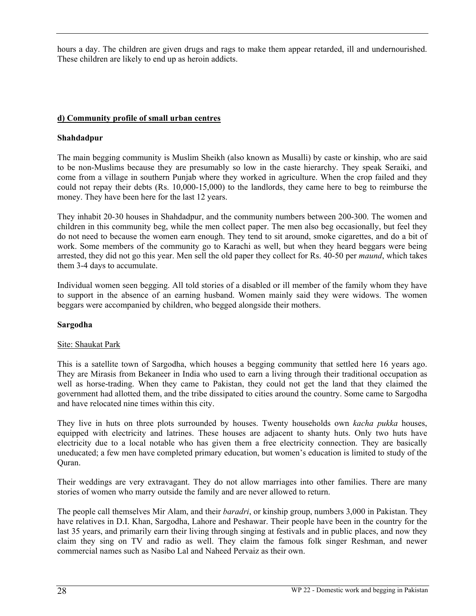hours a day. The children are given drugs and rags to make them appear retarded, ill and undernourished. These children are likely to end up as heroin addicts.

# **d) Community profile of small urban centres**

# **Shahdadpur**

The main begging community is Muslim Sheikh (also known as Musalli) by caste or kinship, who are said to be non-Muslims because they are presumably so low in the caste hierarchy. They speak Seraiki, and come from a village in southern Punjab where they worked in agriculture. When the crop failed and they could not repay their debts (Rs. 10,000-15,000) to the landlords, they came here to beg to reimburse the money. They have been here for the last 12 years.

They inhabit 20-30 houses in Shahdadpur, and the community numbers between 200-300. The women and children in this community beg, while the men collect paper. The men also beg occasionally, but feel they do not need to because the women earn enough. They tend to sit around, smoke cigarettes, and do a bit of work. Some members of the community go to Karachi as well, but when they heard beggars were being arrested, they did not go this year. Men sell the old paper they collect for Rs. 40-50 per *maund*, which takes them 3-4 days to accumulate.

Individual women seen begging. All told stories of a disabled or ill member of the family whom they have to support in the absence of an earning husband. Women mainly said they were widows. The women beggars were accompanied by children, who begged alongside their mothers.

# **Sargodha**

# Site: Shaukat Park

This is a satellite town of Sargodha, which houses a begging community that settled here 16 years ago. They are Mirasis from Bekaneer in India who used to earn a living through their traditional occupation as well as horse-trading. When they came to Pakistan, they could not get the land that they claimed the government had allotted them, and the tribe dissipated to cities around the country. Some came to Sargodha and have relocated nine times within this city.

They live in huts on three plots surrounded by houses. Twenty households own *kacha pukka* houses, equipped with electricity and latrines. These houses are adjacent to shanty huts. Only two huts have electricity due to a local notable who has given them a free electricity connection. They are basically uneducated; a few men have completed primary education, but women's education is limited to study of the Quran.

Their weddings are very extravagant. They do not allow marriages into other families. There are many stories of women who marry outside the family and are never allowed to return.

The people call themselves Mir Alam, and their *baradri*, or kinship group, numbers 3,000 in Pakistan. They have relatives in D.I. Khan, Sargodha, Lahore and Peshawar. Their people have been in the country for the last 35 years, and primarily earn their living through singing at festivals and in public places, and now they claim they sing on TV and radio as well. They claim the famous folk singer Reshman, and newer commercial names such as Nasibo Lal and Naheed Pervaiz as their own.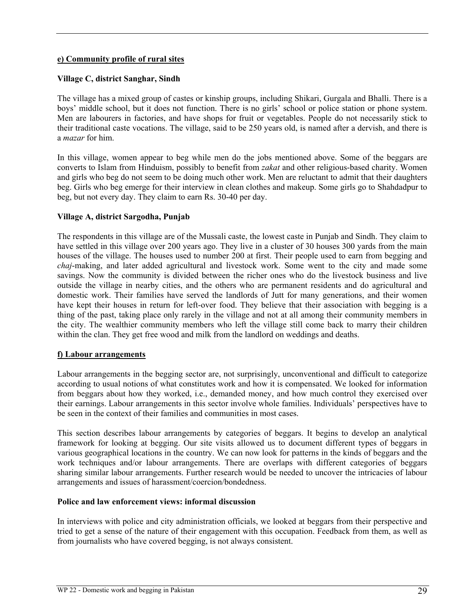#### **e) Community profile of rural sites**

#### **Village C, district Sanghar, Sindh**

The village has a mixed group of castes or kinship groups, including Shikari, Gurgala and Bhalli. There is a boys' middle school, but it does not function. There is no girls' school or police station or phone system. Men are labourers in factories, and have shops for fruit or vegetables. People do not necessarily stick to their traditional caste vocations. The village, said to be 250 years old, is named after a dervish, and there is a *mazar* for him.

In this village, women appear to beg while men do the jobs mentioned above. Some of the beggars are converts to Islam from Hinduism, possibly to benefit from *zakat* and other religious-based charity. Women and girls who beg do not seem to be doing much other work. Men are reluctant to admit that their daughters beg. Girls who beg emerge for their interview in clean clothes and makeup. Some girls go to Shahdadpur to beg, but not every day. They claim to earn Rs. 30-40 per day.

#### **Village A, district Sargodha, Punjab**

The respondents in this village are of the Mussali caste, the lowest caste in Punjab and Sindh. They claim to have settled in this village over 200 years ago. They live in a cluster of 30 houses 300 yards from the main houses of the village. The houses used to number 200 at first. Their people used to earn from begging and *chaj*-making, and later added agricultural and livestock work. Some went to the city and made some savings. Now the community is divided between the richer ones who do the livestock business and live outside the village in nearby cities, and the others who are permanent residents and do agricultural and domestic work. Their families have served the landlords of Jutt for many generations, and their women have kept their houses in return for left-over food. They believe that their association with begging is a thing of the past, taking place only rarely in the village and not at all among their community members in the city. The wealthier community members who left the village still come back to marry their children within the clan. They get free wood and milk from the landlord on weddings and deaths.

#### **f) Labour arrangements**

Labour arrangements in the begging sector are, not surprisingly, unconventional and difficult to categorize according to usual notions of what constitutes work and how it is compensated. We looked for information from beggars about how they worked, i.e., demanded money, and how much control they exercised over their earnings. Labour arrangements in this sector involve whole families. Individuals' perspectives have to be seen in the context of their families and communities in most cases.

This section describes labour arrangements by categories of beggars. It begins to develop an analytical framework for looking at begging. Our site visits allowed us to document different types of beggars in various geographical locations in the country. We can now look for patterns in the kinds of beggars and the work techniques and/or labour arrangements. There are overlaps with different categories of beggars sharing similar labour arrangements. Further research would be needed to uncover the intricacies of labour arrangements and issues of harassment/coercion/bondedness.

#### **Police and law enforcement views: informal discussion**

In interviews with police and city administration officials, we looked at beggars from their perspective and tried to get a sense of the nature of their engagement with this occupation. Feedback from them, as well as from journalists who have covered begging, is not always consistent.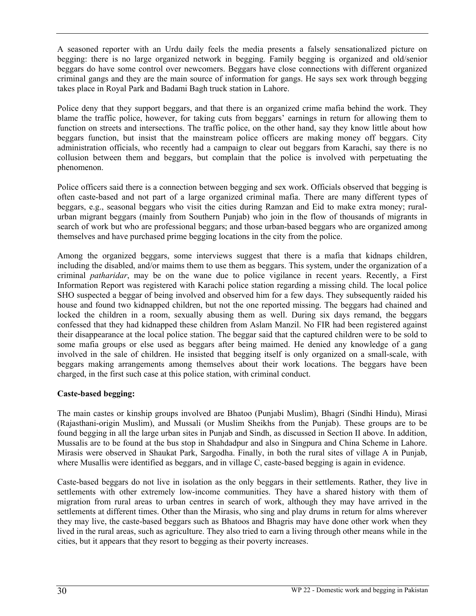A seasoned reporter with an Urdu daily feels the media presents a falsely sensationalized picture on begging: there is no large organized network in begging. Family begging is organized and old/senior beggars do have some control over newcomers. Beggars have close connections with different organized criminal gangs and they are the main source of information for gangs. He says sex work through begging takes place in Royal Park and Badami Bagh truck station in Lahore.

Police deny that they support beggars, and that there is an organized crime mafia behind the work. They blame the traffic police, however, for taking cuts from beggars' earnings in return for allowing them to function on streets and intersections. The traffic police, on the other hand, say they know little about how beggars function, but insist that the mainstream police officers are making money off beggars. City administration officials, who recently had a campaign to clear out beggars from Karachi, say there is no collusion between them and beggars, but complain that the police is involved with perpetuating the phenomenon.

Police officers said there is a connection between begging and sex work. Officials observed that begging is often caste-based and not part of a large organized criminal mafia. There are many different types of beggars, e.g., seasonal beggars who visit the cities during Ramzan and Eid to make extra money; ruralurban migrant beggars (mainly from Southern Punjab) who join in the flow of thousands of migrants in search of work but who are professional beggars; and those urban-based beggars who are organized among themselves and have purchased prime begging locations in the city from the police.

Among the organized beggars, some interviews suggest that there is a mafia that kidnaps children, including the disabled, and/or maims them to use them as beggars. This system, under the organization of a criminal *patharidar*, may be on the wane due to police vigilance in recent years. Recently, a First Information Report was registered with Karachi police station regarding a missing child. The local police SHO suspected a beggar of being involved and observed him for a few days. They subsequently raided his house and found two kidnapped children, but not the one reported missing. The beggars had chained and locked the children in a room, sexually abusing them as well. During six days remand, the beggars confessed that they had kidnapped these children from Aslam Manzil. No FIR had been registered against their disappearance at the local police station. The beggar said that the captured children were to be sold to some mafia groups or else used as beggars after being maimed. He denied any knowledge of a gang involved in the sale of children. He insisted that begging itself is only organized on a small-scale, with beggars making arrangements among themselves about their work locations. The beggars have been charged, in the first such case at this police station, with criminal conduct.

# **Caste-based begging:**

The main castes or kinship groups involved are Bhatoo (Punjabi Muslim), Bhagri (Sindhi Hindu), Mirasi (Rajasthani-origin Muslim), and Mussali (or Muslim Sheikhs from the Punjab). These groups are to be found begging in all the large urban sites in Punjab and Sindh, as discussed in Section II above. In addition, Mussalis are to be found at the bus stop in Shahdadpur and also in Singpura and China Scheme in Lahore. Mirasis were observed in Shaukat Park, Sargodha. Finally, in both the rural sites of village A in Punjab, where Musallis were identified as beggars, and in village C, caste-based begging is again in evidence.

Caste-based beggars do not live in isolation as the only beggars in their settlements. Rather, they live in settlements with other extremely low-income communities. They have a shared history with them of migration from rural areas to urban centres in search of work, although they may have arrived in the settlements at different times. Other than the Mirasis, who sing and play drums in return for alms wherever they may live, the caste-based beggars such as Bhatoos and Bhagris may have done other work when they lived in the rural areas, such as agriculture. They also tried to earn a living through other means while in the cities, but it appears that they resort to begging as their poverty increases.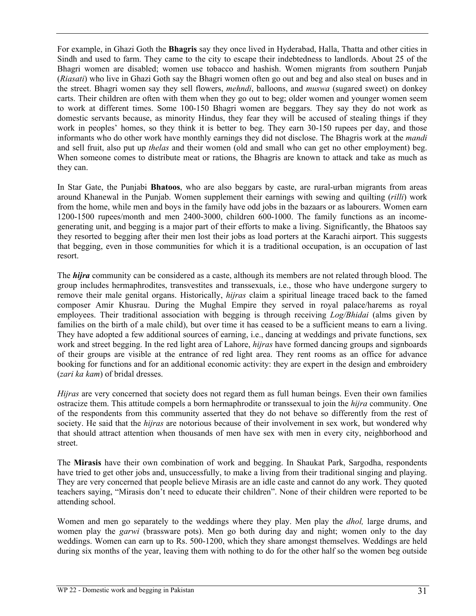For example, in Ghazi Goth the **Bhagris** say they once lived in Hyderabad, Halla, Thatta and other cities in Sindh and used to farm. They came to the city to escape their indebtedness to landlords. About 25 of the Bhagri women are disabled; women use tobacco and hashish. Women migrants from southern Punjab (*Riasati*) who live in Ghazi Goth say the Bhagri women often go out and beg and also steal on buses and in the street. Bhagri women say they sell flowers, *mehndi*, balloons, and *muswa* (sugared sweet) on donkey carts. Their children are often with them when they go out to beg; older women and younger women seem to work at different times. Some 100-150 Bhagri women are beggars. They say they do not work as domestic servants because, as minority Hindus, they fear they will be accused of stealing things if they work in peoples' homes, so they think it is better to beg. They earn 30-150 rupees per day, and those informants who do other work have monthly earnings they did not disclose. The Bhagris work at the *mandi* and sell fruit, also put up *thelas* and their women (old and small who can get no other employment) beg. When someone comes to distribute meat or rations, the Bhagris are known to attack and take as much as they can.

In Star Gate, the Punjabi **Bhatoos**, who are also beggars by caste, are rural-urban migrants from areas around Khanewal in the Punjab. Women supplement their earnings with sewing and quilting (*rilli*) work from the home, while men and boys in the family have odd jobs in the bazaars or as labourers. Women earn 1200-1500 rupees/month and men 2400-3000, children 600-1000. The family functions as an incomegenerating unit, and begging is a major part of their efforts to make a living. Significantly, the Bhatoos say they resorted to begging after their men lost their jobs as load porters at the Karachi airport. This suggests that begging, even in those communities for which it is a traditional occupation, is an occupation of last resort.

The *hijra* community can be considered as a caste, although its members are not related through blood. The group includes hermaphrodites, transvestites and transsexuals, i.e., those who have undergone surgery to remove their male genital organs. Historically, *hijras* claim a spiritual lineage traced back to the famed composer Amir Khusrau. During the Mughal Empire they served in royal palace/harems as royal employees. Their traditional association with begging is through receiving *Log/Bhidai* (alms given by families on the birth of a male child), but over time it has ceased to be a sufficient means to earn a living. They have adopted a few additional sources of earning, i.e., dancing at weddings and private functions, sex work and street begging. In the red light area of Lahore, *hijras* have formed dancing groups and signboards of their groups are visible at the entrance of red light area. They rent rooms as an office for advance booking for functions and for an additional economic activity: they are expert in the design and embroidery (*zari ka kam*) of bridal dresses.

*Hijras* are very concerned that society does not regard them as full human beings. Even their own families ostracize them. This attitude compels a born hermaphrodite or transsexual to join the *hijra* community. One of the respondents from this community asserted that they do not behave so differently from the rest of society. He said that the *hijras* are notorious because of their involvement in sex work, but wondered why that should attract attention when thousands of men have sex with men in every city, neighborhood and street.

The **Mirasis** have their own combination of work and begging. In Shaukat Park, Sargodha, respondents have tried to get other jobs and, unsuccessfully, to make a living from their traditional singing and playing. They are very concerned that people believe Mirasis are an idle caste and cannot do any work. They quoted teachers saying, "Mirasis don't need to educate their children". None of their children were reported to be attending school.

Women and men go separately to the weddings where they play. Men play the *dhol,* large drums, and women play the *garwi* (brassware pots). Men go both during day and night; women only to the day weddings. Women can earn up to Rs. 500-1200, which they share amongst themselves. Weddings are held during six months of the year, leaving them with nothing to do for the other half so the women beg outside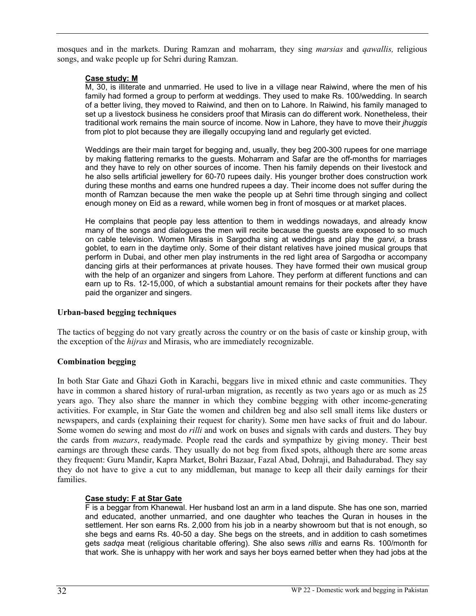mosques and in the markets. During Ramzan and moharram, they sing *marsias* and *qawallis,* religious songs, and wake people up for Sehri during Ramzan.

#### **Case study: M**

M, 30, is illiterate and unmarried. He used to live in a village near Raiwind, where the men of his family had formed a group to perform at weddings. They used to make Rs. 100/wedding. In search of a better living, they moved to Raiwind, and then on to Lahore. In Raiwind, his family managed to set up a livestock business he considers proof that Mirasis can do different work. Nonetheless, their traditional work remains the main source of income. Now in Lahore, they have to move their *jhuggis* from plot to plot because they are illegally occupying land and regularly get evicted.

Weddings are their main target for begging and, usually, they beg 200-300 rupees for one marriage by making flattering remarks to the guests. Moharram and Safar are the off-months for marriages and they have to rely on other sources of income. Then his family depends on their livestock and he also sells artificial jewellery for 60-70 rupees daily. His younger brother does construction work during these months and earns one hundred rupees a day. Their income does not suffer during the month of Ramzan because the men wake the people up at Sehri time through singing and collect enough money on Eid as a reward, while women beg in front of mosques or at market places.

He complains that people pay less attention to them in weddings nowadays, and already know many of the songs and dialogues the men will recite because the guests are exposed to so much on cable television. Women Mirasis in Sargodha sing at weddings and play the *garvi,* a brass goblet, to earn in the daytime only. Some of their distant relatives have joined musical groups that perform in Dubai, and other men play instruments in the red light area of Sargodha or accompany dancing girls at their performances at private houses. They have formed their own musical group with the help of an organizer and singers from Lahore. They perform at different functions and can earn up to Rs. 12-15,000, of which a substantial amount remains for their pockets after they have paid the organizer and singers.

# **Urban-based begging techniques**

The tactics of begging do not vary greatly across the country or on the basis of caste or kinship group, with the exception of the *hijras* and Mirasis, who are immediately recognizable.

#### **Combination begging**

In both Star Gate and Ghazi Goth in Karachi, beggars live in mixed ethnic and caste communities. They have in common a shared history of rural-urban migration, as recently as two years ago or as much as 25 years ago. They also share the manner in which they combine begging with other income-generating activities. For example, in Star Gate the women and children beg and also sell small items like dusters or newspapers, and cards (explaining their request for charity). Some men have sacks of fruit and do labour. Some women do sewing and most do *rilli* and work on buses and signals with cards and dusters. They buy the cards from *mazars*, readymade. People read the cards and sympathize by giving money. Their best earnings are through these cards. They usually do not beg from fixed spots, although there are some areas they frequent: Guru Mandir, Kapra Market, Bohri Bazaar, Fazal Abad, Dohraji, and Bahadurabad. They say they do not have to give a cut to any middleman, but manage to keep all their daily earnings for their families.

# **Case study: F at Star Gate**

F is a beggar from Khanewal. Her husband lost an arm in a land dispute. She has one son, married and educated, another unmarried, and one daughter who teaches the Quran in houses in the settlement. Her son earns Rs. 2,000 from his job in a nearby showroom but that is not enough, so she begs and earns Rs. 40-50 a day. She begs on the streets, and in addition to cash sometimes gets *sadqa* meat (religious charitable offering). She also sews *rillis* and earns Rs. 100/month for that work. She is unhappy with her work and says her boys earned better when they had jobs at the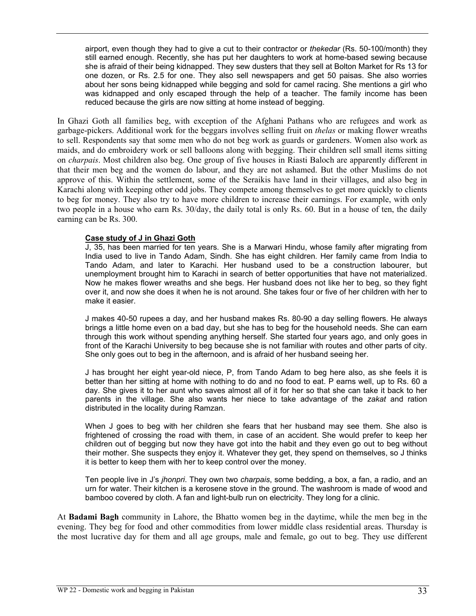airport, even though they had to give a cut to their contractor or *thekedar* (Rs. 50-100/month) they still earned enough. Recently, she has put her daughters to work at home-based sewing because she is afraid of their being kidnapped. They sew dusters that they sell at Bolton Market for Rs 13 for one dozen, or Rs. 2.5 for one. They also sell newspapers and get 50 paisas. She also worries about her sons being kidnapped while begging and sold for camel racing. She mentions a girl who was kidnapped and only escaped through the help of a teacher. The family income has been reduced because the girls are now sitting at home instead of begging.

In Ghazi Goth all families beg, with exception of the Afghani Pathans who are refugees and work as garbage-pickers. Additional work for the beggars involves selling fruit on *thelas* or making flower wreaths to sell. Respondents say that some men who do not beg work as guards or gardeners. Women also work as maids, and do embroidery work or sell balloons along with begging. Their children sell small items sitting on *charpais*. Most children also beg. One group of five houses in Riasti Baloch are apparently different in that their men beg and the women do labour, and they are not ashamed. But the other Muslims do not approve of this. Within the settlement, some of the Seraikis have land in their villages, and also beg in Karachi along with keeping other odd jobs. They compete among themselves to get more quickly to clients to beg for money. They also try to have more children to increase their earnings. For example, with only two people in a house who earn Rs. 30/day, the daily total is only Rs. 60. But in a house of ten, the daily earning can be Rs. 300.

#### **Case study of J in Ghazi Goth**

J, 35, has been married for ten years. She is a Marwari Hindu, whose family after migrating from India used to live in Tando Adam, Sindh. She has eight children. Her family came from India to Tando Adam, and later to Karachi. Her husband used to be a construction labourer, but unemployment brought him to Karachi in search of better opportunities that have not materialized. Now he makes flower wreaths and she begs. Her husband does not like her to beg, so they fight over it, and now she does it when he is not around. She takes four or five of her children with her to make it easier.

J makes 40-50 rupees a day, and her husband makes Rs. 80-90 a day selling flowers. He always brings a little home even on a bad day, but she has to beg for the household needs. She can earn through this work without spending anything herself. She started four years ago, and only goes in front of the Karachi University to beg because she is not familiar with routes and other parts of city. She only goes out to beg in the afternoon, and is afraid of her husband seeing her.

J has brought her eight year-old niece, P, from Tando Adam to beg here also, as she feels it is better than her sitting at home with nothing to do and no food to eat. P earns well, up to Rs. 60 a day. She gives it to her aunt who saves almost all of it for her so that she can take it back to her parents in the village. She also wants her niece to take advantage of the *zakat* and ration distributed in the locality during Ramzan.

When J goes to beg with her children she fears that her husband may see them. She also is frightened of crossing the road with them, in case of an accident. She would prefer to keep her children out of begging but now they have got into the habit and they even go out to beg without their mother. She suspects they enjoy it. Whatever they get, they spend on themselves, so J thinks it is better to keep them with her to keep control over the money.

Ten people live in J's *jhonpri*. They own two *charpais*, some bedding, a box, a fan, a radio, and an urn for water. Their kitchen is a kerosene stove in the ground. The washroom is made of wood and bamboo covered by cloth. A fan and light-bulb run on electricity. They long for a clinic.

At **Badami Bagh** community in Lahore, the Bhatto women beg in the daytime, while the men beg in the evening. They beg for food and other commodities from lower middle class residential areas. Thursday is the most lucrative day for them and all age groups, male and female, go out to beg. They use different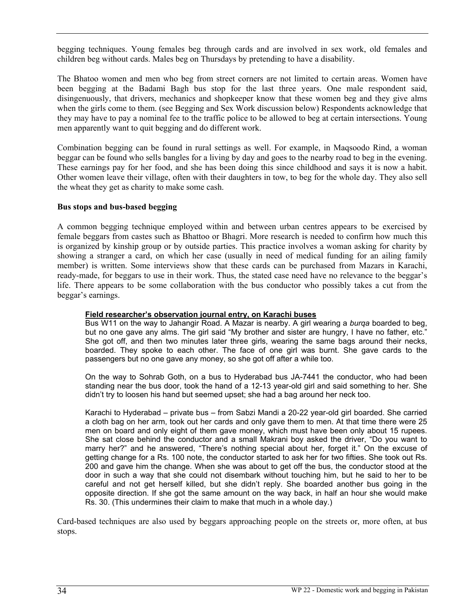begging techniques. Young females beg through cards and are involved in sex work, old females and children beg without cards. Males beg on Thursdays by pretending to have a disability.

The Bhatoo women and men who beg from street corners are not limited to certain areas. Women have been begging at the Badami Bagh bus stop for the last three years. One male respondent said, disingenuously, that drivers, mechanics and shopkeeper know that these women beg and they give alms when the girls come to them. (see Begging and Sex Work discussion below) Respondents acknowledge that they may have to pay a nominal fee to the traffic police to be allowed to beg at certain intersections. Young men apparently want to quit begging and do different work.

Combination begging can be found in rural settings as well. For example, in Maqsoodo Rind, a woman beggar can be found who sells bangles for a living by day and goes to the nearby road to beg in the evening. These earnings pay for her food, and she has been doing this since childhood and says it is now a habit. Other women leave their village, often with their daughters in tow, to beg for the whole day. They also sell the wheat they get as charity to make some cash.

#### **Bus stops and bus-based begging**

A common begging technique employed within and between urban centres appears to be exercised by female beggars from castes such as Bhattoo or Bhagri. More research is needed to confirm how much this is organized by kinship group or by outside parties. This practice involves a woman asking for charity by showing a stranger a card, on which her case (usually in need of medical funding for an ailing family member) is written. Some interviews show that these cards can be purchased from Mazars in Karachi, ready-made, for beggars to use in their work. Thus, the stated case need have no relevance to the beggar's life. There appears to be some collaboration with the bus conductor who possibly takes a cut from the beggar's earnings.

#### **Field researcher's observation journal entry, on Karachi buses**

Bus W11 on the way to Jahangir Road. A Mazar is nearby. A girl wearing a *burqa* boarded to beg, but no one gave any alms. The girl said "My brother and sister are hungry, I have no father, etc." She got off, and then two minutes later three girls, wearing the same bags around their necks, boarded. They spoke to each other. The face of one girl was burnt. She gave cards to the passengers but no one gave any money, so she got off after a while too.

On the way to Sohrab Goth, on a bus to Hyderabad bus JA-7441 the conductor, who had been standing near the bus door, took the hand of a 12-13 year-old girl and said something to her. She didn't try to loosen his hand but seemed upset; she had a bag around her neck too.

Karachi to Hyderabad – private bus – from Sabzi Mandi a 20-22 year-old girl boarded. She carried a cloth bag on her arm, took out her cards and only gave them to men. At that time there were 25 men on board and only eight of them gave money, which must have been only about 15 rupees. She sat close behind the conductor and a small Makrani boy asked the driver, "Do you want to marry her?" and he answered, "There's nothing special about her, forget it." On the excuse of getting change for a Rs. 100 note, the conductor started to ask her for two fifties. She took out Rs. 200 and gave him the change. When she was about to get off the bus, the conductor stood at the door in such a way that she could not disembark without touching him, but he said to her to be careful and not get herself killed, but she didn't reply. She boarded another bus going in the opposite direction. If she got the same amount on the way back, in half an hour she would make Rs. 30. (This undermines their claim to make that much in a whole day.)

Card-based techniques are also used by beggars approaching people on the streets or, more often, at bus stops.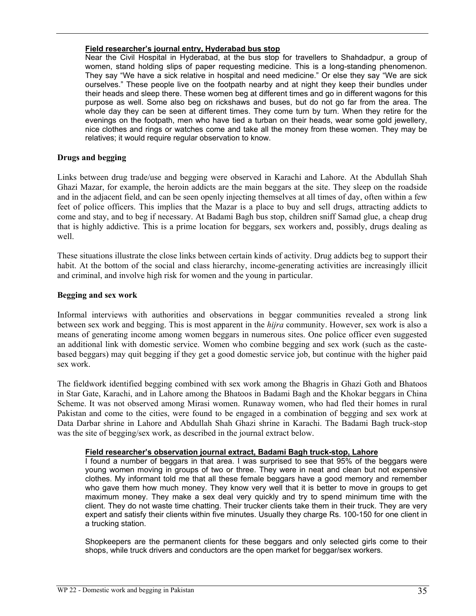#### **Field researcher's journal entry, Hyderabad bus stop**

Near the Civil Hospital in Hyderabad, at the bus stop for travellers to Shahdadpur, a group of women, stand holding slips of paper requesting medicine. This is a long-standing phenomenon. They say "We have a sick relative in hospital and need medicine." Or else they say "We are sick ourselves." These people live on the footpath nearby and at night they keep their bundles under their heads and sleep there. These women beg at different times and go in different wagons for this purpose as well. Some also beg on rickshaws and buses, but do not go far from the area. The whole day they can be seen at different times. They come turn by turn. When they retire for the evenings on the footpath, men who have tied a turban on their heads, wear some gold jewellery, nice clothes and rings or watches come and take all the money from these women. They may be relatives; it would require regular observation to know.

#### **Drugs and begging**

Links between drug trade/use and begging were observed in Karachi and Lahore. At the Abdullah Shah Ghazi Mazar, for example, the heroin addicts are the main beggars at the site. They sleep on the roadside and in the adjacent field, and can be seen openly injecting themselves at all times of day, often within a few feet of police officers. This implies that the Mazar is a place to buy and sell drugs, attracting addicts to come and stay, and to beg if necessary. At Badami Bagh bus stop, children sniff Samad glue, a cheap drug that is highly addictive. This is a prime location for beggars, sex workers and, possibly, drugs dealing as well.

These situations illustrate the close links between certain kinds of activity. Drug addicts beg to support their habit. At the bottom of the social and class hierarchy, income-generating activities are increasingly illicit and criminal, and involve high risk for women and the young in particular.

#### **Begging and sex work**

Informal interviews with authorities and observations in beggar communities revealed a strong link between sex work and begging. This is most apparent in the *hijra* community. However, sex work is also a means of generating income among women beggars in numerous sites. One police officer even suggested an additional link with domestic service. Women who combine begging and sex work (such as the castebased beggars) may quit begging if they get a good domestic service job, but continue with the higher paid sex work.

The fieldwork identified begging combined with sex work among the Bhagris in Ghazi Goth and Bhatoos in Star Gate, Karachi, and in Lahore among the Bhatoos in Badami Bagh and the Khokar beggars in China Scheme. It was not observed among Mirasi women. Runaway women, who had fled their homes in rural Pakistan and come to the cities, were found to be engaged in a combination of begging and sex work at Data Darbar shrine in Lahore and Abdullah Shah Ghazi shrine in Karachi. The Badami Bagh truck-stop was the site of begging/sex work, as described in the journal extract below.

#### **Field researcher's observation journal extract, Badami Bagh truck-stop, Lahore**

I found a number of beggars in that area. I was surprised to see that 95% of the beggars were young women moving in groups of two or three. They were in neat and clean but not expensive clothes. My informant told me that all these female beggars have a good memory and remember who gave them how much money. They know very well that it is better to move in groups to get maximum money. They make a sex deal very quickly and try to spend minimum time with the client. They do not waste time chatting. Their trucker clients take them in their truck. They are very expert and satisfy their clients within five minutes. Usually they charge Rs. 100-150 for one client in a trucking station.

Shopkeepers are the permanent clients for these beggars and only selected girls come to their shops, while truck drivers and conductors are the open market for beggar/sex workers.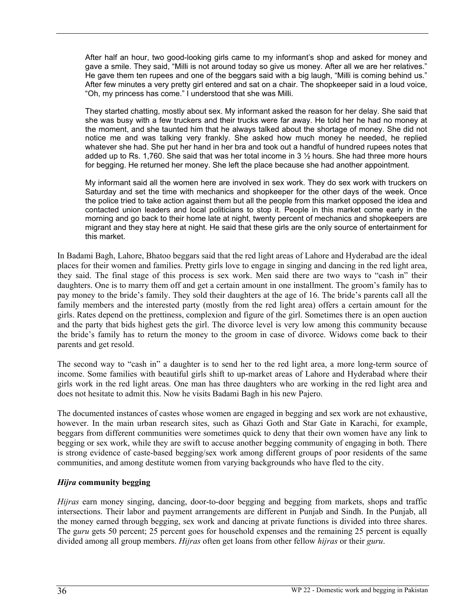After half an hour, two good-looking girls came to my informant's shop and asked for money and gave a smile. They said, "Milli is not around today so give us money. After all we are her relatives." He gave them ten rupees and one of the beggars said with a big laugh, "Milli is coming behind us." After few minutes a very pretty girl entered and sat on a chair. The shopkeeper said in a loud voice, "Oh, my princess has come." I understood that she was Milli.

They started chatting, mostly about sex. My informant asked the reason for her delay. She said that she was busy with a few truckers and their trucks were far away. He told her he had no money at the moment, and she taunted him that he always talked about the shortage of money. She did not notice me and was talking very frankly. She asked how much money he needed, he replied whatever she had. She put her hand in her bra and took out a handful of hundred rupees notes that added up to Rs. 1,760. She said that was her total income in 3  $\frac{1}{2}$  hours. She had three more hours for begging. He returned her money. She left the place because she had another appointment.

My informant said all the women here are involved in sex work. They do sex work with truckers on Saturday and set the time with mechanics and shopkeeper for the other days of the week. Once the police tried to take action against them but all the people from this market opposed the idea and contacted union leaders and local politicians to stop it. People in this market come early in the morning and go back to their home late at night, twenty percent of mechanics and shopkeepers are migrant and they stay here at night. He said that these girls are the only source of entertainment for this market.

In Badami Bagh, Lahore, Bhatoo beggars said that the red light areas of Lahore and Hyderabad are the ideal places for their women and families. Pretty girls love to engage in singing and dancing in the red light area, they said. The final stage of this process is sex work. Men said there are two ways to "cash in" their daughters. One is to marry them off and get a certain amount in one installment. The groom's family has to pay money to the bride's family. They sold their daughters at the age of 16. The bride's parents call all the family members and the interested party (mostly from the red light area) offers a certain amount for the girls. Rates depend on the prettiness, complexion and figure of the girl. Sometimes there is an open auction and the party that bids highest gets the girl. The divorce level is very low among this community because the bride's family has to return the money to the groom in case of divorce. Widows come back to their parents and get resold.

The second way to "cash in" a daughter is to send her to the red light area, a more long-term source of income. Some families with beautiful girls shift to up-market areas of Lahore and Hyderabad where their girls work in the red light areas. One man has three daughters who are working in the red light area and does not hesitate to admit this. Now he visits Badami Bagh in his new Pajero.

The documented instances of castes whose women are engaged in begging and sex work are not exhaustive, however. In the main urban research sites, such as Ghazi Goth and Star Gate in Karachi, for example, beggars from different communities were sometimes quick to deny that their own women have any link to begging or sex work, while they are swift to accuse another begging community of engaging in both. There is strong evidence of caste-based begging/sex work among different groups of poor residents of the same communities, and among destitute women from varying backgrounds who have fled to the city.

# *Hijra* **community begging**

*Hijras* earn money singing, dancing, door-to-door begging and begging from markets, shops and traffic intersections. Their labor and payment arrangements are different in Punjab and Sindh. In the Punjab, all the money earned through begging, sex work and dancing at private functions is divided into three shares. The g*uru* gets 50 percent; 25 percent goes for household expenses and the remaining 25 percent is equally divided among all group members. *Hijras* often get loans from other fellow *hijras* or their *guru*.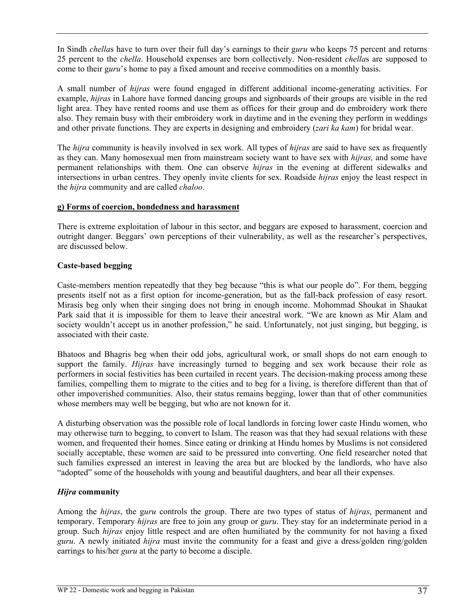In Sindh *chella*s have to turn over their full day's earnings to their g*uru* who keeps 75 percent and returns 25 percent to the *chella*. Household expenses are born collectively. Non-resident *chella*s are supposed to come to their g*uru*'s home to pay a fixed amount and receive commodities on a monthly basis.

A small number of *hijras* were found engaged in different additional income-generating activities. For example, *hijras* in Lahore have formed dancing groups and signboards of their groups are visible in the red light area. They have rented rooms and use them as offices for their group and do embroidery work there also. They remain busy with their embroidery work in daytime and in the evening they perform in weddings and other private functions. They are experts in designing and embroidery (*zari ka kam*) for bridal wear.

The *hijra* community is heavily involved in sex work. All types of *hijras* are said to have sex as frequently as they can. Many homosexual men from mainstream society want to have sex with *hijras,* and some have permanent relationships with them. One can observe *hijras* in the evening at different sidewalks and intersections in urban centres. They openly invite clients for sex. Roadside *hijras* enjoy the least respect in the *hijra* community and are called *chaloo*.

#### **g) Forms of coercion, bondedness and harassment**

There is extreme exploitation of labour in this sector, and beggars are exposed to harassment, coercion and outright danger. Beggars' own perceptions of their vulnerability, as well as the researcher's perspectives, are discussed below.

# **Caste-based begging**

Caste-members mention repeatedly that they beg because "this is what our people do". For them, begging presents itself not as a first option for income-generation, but as the fall-back profession of easy resort. Mirasis beg only when their singing does not bring in enough income. Mohommad Shoukat in Shaukat Park said that it is impossible for them to leave their ancestral work. "We are known as Mir Alam and society wouldn't accept us in another profession," he said. Unfortunately, not just singing, but begging, is associated with their caste.

Bhatoos and Bhagris beg when their odd jobs, agricultural work, or small shops do not earn enough to support the family. *Hijras* have increasingly turned to begging and sex work because their role as performers in social festivities has been curtailed in recent years. The decision-making process among these families, compelling them to migrate to the cities and to beg for a living, is therefore different than that of other impoverished communities. Also, their status remains begging, lower than that of other communities whose members may well be begging, but who are not known for it.

A disturbing observation was the possible role of local landlords in forcing lower caste Hindu women, who may otherwise turn to begging, to convert to Islam. The reason was that they had sexual relations with these women, and frequented their homes. Since eating or drinking at Hindu homes by Muslims is not considered socially acceptable, these women are said to be pressured into converting. One field researcher noted that such families expressed an interest in leaving the area but are blocked by the landlords, who have also "adopted" some of the households with young and beautiful daughters, and bear all their expenses.

# *Hijra* **community**

Among the *hijras*, the g*uru* controls the group. There are two types of status of *hijras*, permanent and temporary. Temporary *hijras* are free to join any group or g*uru*. They stay for an indeterminate period in a group. Such *hijras* enjoy little respect and are often humiliated by the community for not having a fixed *guru*. A newly initiated *hijra* must invite the community for a feast and give a dress/golden ring/golden earrings to his/her *guru* at the party to become a disciple.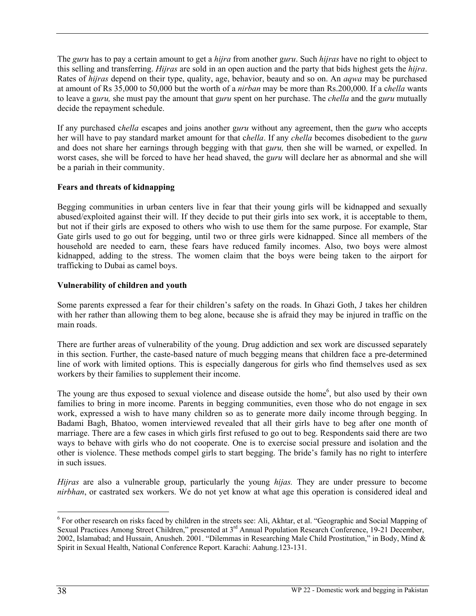The *guru* has to pay a certain amount to get a *hijra* from another g*uru*. Such *hijras* have no right to object to this selling and transferring. *Hijras* are sold in an open auction and the party that bids highest gets the *hijra*. Rates of *hijras* depend on their type, quality, age, behavior, beauty and so on. An *aqwa* may be purchased at amount of Rs 35,000 to 50,000 but the worth of a *nirban* may be more than Rs.200,000. If a c*hella* wants to leave a g*uru,* she must pay the amount that g*uru* spent on her purchase. The *chella* and the g*uru* mutually decide the repayment schedule.

If any purchased c*hella* escapes and joins another g*uru* without any agreement, then the g*uru* who accepts her will have to pay standard market amount for that c*hella*. If any *chella* becomes disobedient to the g*uru* and does not share her earnings through begging with that g*uru,* then she will be warned, or expelled. In worst cases, she will be forced to have her head shaved, the g*uru* will declare her as abnormal and she will be a pariah in their community.

# **Fears and threats of kidnapping**

Begging communities in urban centers live in fear that their young girls will be kidnapped and sexually abused/exploited against their will. If they decide to put their girls into sex work, it is acceptable to them, but not if their girls are exposed to others who wish to use them for the same purpose. For example, Star Gate girls used to go out for begging, until two or three girls were kidnapped. Since all members of the household are needed to earn, these fears have reduced family incomes. Also, two boys were almost kidnapped, adding to the stress. The women claim that the boys were being taken to the airport for trafficking to Dubai as camel boys.

#### **Vulnerability of children and youth**

Some parents expressed a fear for their children's safety on the roads. In Ghazi Goth, J takes her children with her rather than allowing them to beg alone, because she is afraid they may be injured in traffic on the main roads.

There are further areas of vulnerability of the young. Drug addiction and sex work are discussed separately in this section. Further, the caste-based nature of much begging means that children face a pre-determined line of work with limited options. This is especially dangerous for girls who find themselves used as sex workers by their families to supplement their income.

The young are thus exposed to sexual violence and disease outside the home<sup>6</sup>, but also used by their own families to bring in more income. Parents in begging communities, even those who do not engage in sex work, expressed a wish to have many children so as to generate more daily income through begging. In Badami Bagh, Bhatoo, women interviewed revealed that all their girls have to beg after one month of marriage. There are a few cases in which girls first refused to go out to beg. Respondents said there are two ways to behave with girls who do not cooperate. One is to exercise social pressure and isolation and the other is violence. These methods compel girls to start begging. The bride's family has no right to interfere in such issues.

*Hijras* are also a vulnerable group, particularly the young *hijas.* They are under pressure to become *nirbhan*, or castrated sex workers. We do not yet know at what age this operation is considered ideal and

 $\overline{a}$ 

<sup>&</sup>lt;sup>6</sup> For other research on risks faced by children in the streets see: Ali, Akhtar, et al. "Geographic and Social Mapping of Sexual Practices Among Street Children," presented at 3rd Annual Population Research Conference, 19-21 December, 2002, Islamabad; and Hussain, Anusheh. 2001. "Dilemmas in Researching Male Child Prostitution," in Body, Mind & Spirit in Sexual Health, National Conference Report. Karachi: Aahung.123-131.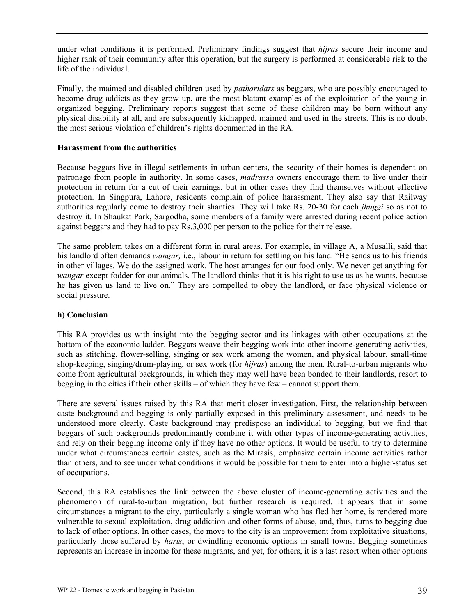under what conditions it is performed. Preliminary findings suggest that *hijras* secure their income and higher rank of their community after this operation, but the surgery is performed at considerable risk to the life of the individual.

Finally, the maimed and disabled children used by *patharidars* as beggars, who are possibly encouraged to become drug addicts as they grow up, are the most blatant examples of the exploitation of the young in organized begging. Preliminary reports suggest that some of these children may be born without any physical disability at all, and are subsequently kidnapped, maimed and used in the streets. This is no doubt the most serious violation of children's rights documented in the RA.

### **Harassment from the authorities**

Because beggars live in illegal settlements in urban centers, the security of their homes is dependent on patronage from people in authority. In some cases, *madrassa* owners encourage them to live under their protection in return for a cut of their earnings, but in other cases they find themselves without effective protection. In Singpura, Lahore, residents complain of police harassment. They also say that Railway authorities regularly come to destroy their shanties. They will take Rs. 20-30 for each *jhuggi* so as not to destroy it. In Shaukat Park, Sargodha, some members of a family were arrested during recent police action against beggars and they had to pay Rs.3,000 per person to the police for their release.

The same problem takes on a different form in rural areas. For example, in village A, a Musalli, said that his landlord often demands *wangar,* i.e., labour in return for settling on his land. "He sends us to his friends in other villages. We do the assigned work. The host arranges for our food only. We never get anything for *wangar* except fodder for our animals. The landlord thinks that it is his right to use us as he wants, because he has given us land to live on." They are compelled to obey the landlord, or face physical violence or social pressure.

#### **h) Conclusion**

This RA provides us with insight into the begging sector and its linkages with other occupations at the bottom of the economic ladder. Beggars weave their begging work into other income-generating activities, such as stitching, flower-selling, singing or sex work among the women, and physical labour, small-time shop-keeping, singing/drum-playing, or sex work (for *hijras*) among the men. Rural-to-urban migrants who come from agricultural backgrounds, in which they may well have been bonded to their landlords, resort to begging in the cities if their other skills – of which they have few – cannot support them.

There are several issues raised by this RA that merit closer investigation. First, the relationship between caste background and begging is only partially exposed in this preliminary assessment, and needs to be understood more clearly. Caste background may predispose an individual to begging, but we find that beggars of such backgrounds predominantly combine it with other types of income-generating activities, and rely on their begging income only if they have no other options. It would be useful to try to determine under what circumstances certain castes, such as the Mirasis, emphasize certain income activities rather than others, and to see under what conditions it would be possible for them to enter into a higher-status set of occupations.

Second, this RA establishes the link between the above cluster of income-generating activities and the phenomenon of rural-to-urban migration, but further research is required. It appears that in some circumstances a migrant to the city, particularly a single woman who has fled her home, is rendered more vulnerable to sexual exploitation, drug addiction and other forms of abuse, and, thus, turns to begging due to lack of other options. In other cases, the move to the city is an improvement from exploitative situations, particularly those suffered by *haris*, or dwindling economic options in small towns. Begging sometimes represents an increase in income for these migrants, and yet, for others, it is a last resort when other options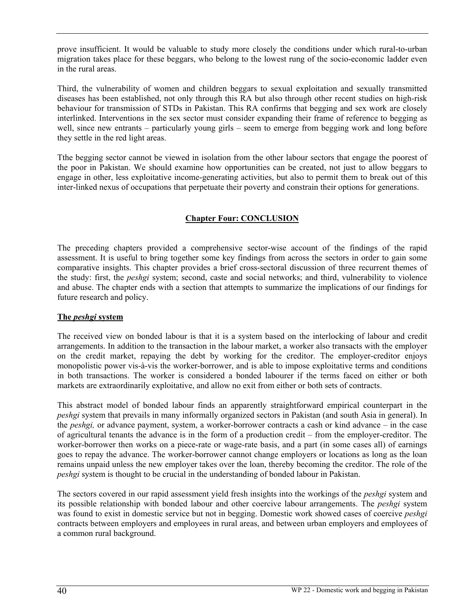prove insufficient. It would be valuable to study more closely the conditions under which rural-to-urban migration takes place for these beggars, who belong to the lowest rung of the socio-economic ladder even in the rural areas.

Third, the vulnerability of women and children beggars to sexual exploitation and sexually transmitted diseases has been established, not only through this RA but also through other recent studies on high-risk behaviour for transmission of STDs in Pakistan. This RA confirms that begging and sex work are closely interlinked. Interventions in the sex sector must consider expanding their frame of reference to begging as well, since new entrants – particularly young girls – seem to emerge from begging work and long before they settle in the red light areas.

Tthe begging sector cannot be viewed in isolation from the other labour sectors that engage the poorest of the poor in Pakistan. We should examine how opportunities can be created, not just to allow beggars to engage in other, less exploitative income-generating activities, but also to permit them to break out of this inter-linked nexus of occupations that perpetuate their poverty and constrain their options for generations.

# **Chapter Four: CONCLUSION**

The preceding chapters provided a comprehensive sector-wise account of the findings of the rapid assessment. It is useful to bring together some key findings from across the sectors in order to gain some comparative insights. This chapter provides a brief cross-sectoral discussion of three recurrent themes of the study: first, the *peshgi* system; second, caste and social networks; and third, vulnerability to violence and abuse. The chapter ends with a section that attempts to summarize the implications of our findings for future research and policy.

#### **The** *peshgi* **system**

The received view on bonded labour is that it is a system based on the interlocking of labour and credit arrangements. In addition to the transaction in the labour market, a worker also transacts with the employer on the credit market, repaying the debt by working for the creditor. The employer-creditor enjoys monopolistic power vis-à-vis the worker-borrower, and is able to impose exploitative terms and conditions in both transactions. The worker is considered a bonded labourer if the terms faced on either or both markets are extraordinarily exploitative, and allow no exit from either or both sets of contracts.

This abstract model of bonded labour finds an apparently straightforward empirical counterpart in the *peshgi* system that prevails in many informally organized sectors in Pakistan (and south Asia in general). In the *peshgi,* or advance payment, system, a worker-borrower contracts a cash or kind advance – in the case of agricultural tenants the advance is in the form of a production credit – from the employer-creditor. The worker-borrower then works on a piece-rate or wage-rate basis, and a part (in some cases all) of earnings goes to repay the advance. The worker-borrower cannot change employers or locations as long as the loan remains unpaid unless the new employer takes over the loan, thereby becoming the creditor. The role of the *peshgi* system is thought to be crucial in the understanding of bonded labour in Pakistan.

The sectors covered in our rapid assessment yield fresh insights into the workings of the *peshgi* system and its possible relationship with bonded labour and other coercive labour arrangements. The *peshgi* system was found to exist in domestic service but not in begging. Domestic work showed cases of coercive *peshgi* contracts between employers and employees in rural areas, and between urban employers and employees of a common rural background.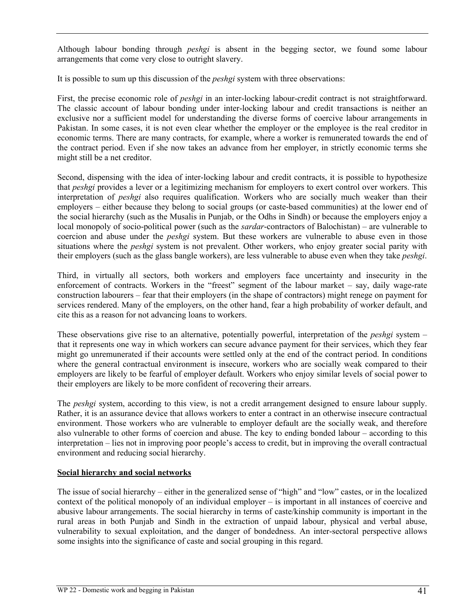Although labour bonding through *peshgi* is absent in the begging sector, we found some labour arrangements that come very close to outright slavery.

It is possible to sum up this discussion of the *peshgi* system with three observations:

First, the precise economic role of *peshgi* in an inter-locking labour-credit contract is not straightforward. The classic account of labour bonding under inter-locking labour and credit transactions is neither an exclusive nor a sufficient model for understanding the diverse forms of coercive labour arrangements in Pakistan. In some cases, it is not even clear whether the employer or the employee is the real creditor in economic terms. There are many contracts, for example, where a worker is remunerated towards the end of the contract period. Even if she now takes an advance from her employer, in strictly economic terms she might still be a net creditor.

Second, dispensing with the idea of inter-locking labour and credit contracts, it is possible to hypothesize that *peshgi* provides a lever or a legitimizing mechanism for employers to exert control over workers. This interpretation of *peshgi* also requires qualification. Workers who are socially much weaker than their employers – either because they belong to social groups (or caste-based communities) at the lower end of the social hierarchy (such as the Musalis in Punjab, or the Odhs in Sindh) or because the employers enjoy a local monopoly of socio-political power (such as the *sardar*-contractors of Balochistan) – are vulnerable to coercion and abuse under the *peshgi* system. But these workers are vulnerable to abuse even in those situations where the *peshgi* system is not prevalent. Other workers, who enjoy greater social parity with their employers (such as the glass bangle workers), are less vulnerable to abuse even when they take *peshgi*.

Third, in virtually all sectors, both workers and employers face uncertainty and insecurity in the enforcement of contracts. Workers in the "freest" segment of the labour market – say, daily wage-rate construction labourers – fear that their employers (in the shape of contractors) might renege on payment for services rendered. Many of the employers, on the other hand, fear a high probability of worker default, and cite this as a reason for not advancing loans to workers.

These observations give rise to an alternative, potentially powerful, interpretation of the *peshgi* system – that it represents one way in which workers can secure advance payment for their services, which they fear might go unremunerated if their accounts were settled only at the end of the contract period. In conditions where the general contractual environment is insecure, workers who are socially weak compared to their employers are likely to be fearful of employer default. Workers who enjoy similar levels of social power to their employers are likely to be more confident of recovering their arrears.

The *peshgi* system, according to this view, is not a credit arrangement designed to ensure labour supply. Rather, it is an assurance device that allows workers to enter a contract in an otherwise insecure contractual environment. Those workers who are vulnerable to employer default are the socially weak, and therefore also vulnerable to other forms of coercion and abuse. The key to ending bonded labour – according to this interpretation – lies not in improving poor people's access to credit, but in improving the overall contractual environment and reducing social hierarchy.

# **Social hierarchy and social networks**

The issue of social hierarchy – either in the generalized sense of "high" and "low" castes, or in the localized context of the political monopoly of an individual employer – is important in all instances of coercive and abusive labour arrangements. The social hierarchy in terms of caste/kinship community is important in the rural areas in both Punjab and Sindh in the extraction of unpaid labour, physical and verbal abuse, vulnerability to sexual exploitation, and the danger of bondedness. An inter-sectoral perspective allows some insights into the significance of caste and social grouping in this regard.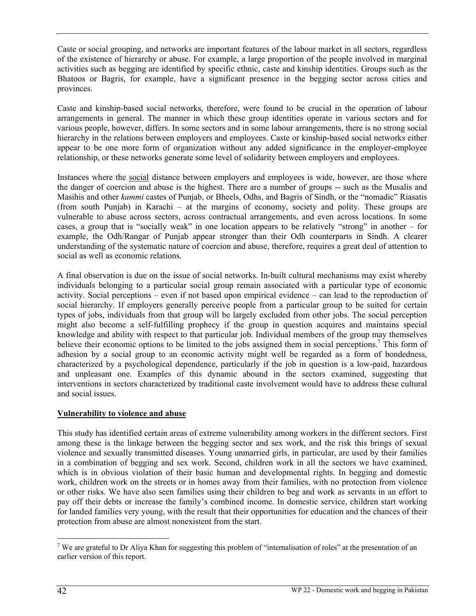Caste or social grouping, and networks are important features of the labour market in all sectors, regardless of the existence of hierarchy or abuse. For example, a large proportion of the people involved in marginal activities such as begging are identified by specific ethnic, caste and kinship identities. Groups such as the Bhatoos or Bagris, for example, have a significant presence in the begging sector across cities and provinces.

Caste and kinship-based social networks, therefore, were found to be crucial in the operation of labour arrangements in general. The manner in which these group identities operate in various sectors and for various people, however, differs. In some sectors and in some labour arrangements, there is no strong social hierarchy in the relations between employers and employees. Caste or kinship-based social networks either appear to be one more form of organization without any added significance in the employer-employee relationship, or these networks generate some level of solidarity between employers and employees.

Instances where the social distance between employers and employees is wide, however, are those where the danger of coercion and abuse is the highest. There are a number of groups -- such as the Musalis and Masihis and other *kammi* castes of Punjab, or Bheels, Odhs, and Bagris of Sindh, or the "nomadic" Riasatis (from south Punjab) in Karachi – at the margins of economy, society and polity. These groups are vulnerable to abuse across sectors, across contractual arrangements, and even across locations. In some cases, a group that is "socially weak" in one location appears to be relatively "strong" in another – for example, the Odh/Rangar of Punjab appear stronger than their Odh counterparts in Sindh. A clearer understanding of the systematic nature of coercion and abuse, therefore, requires a great deal of attention to social as well as economic relations.

A final observation is due on the issue of social networks. In-built cultural mechanisms may exist whereby individuals belonging to a particular social group remain associated with a particular type of economic activity. Social perceptions – even if not based upon empirical evidence – can lead to the reproduction of social hierarchy. If employers generally perceive people from a particular group to be suited for certain types of jobs, individuals from that group will be largely excluded from other jobs. The social perception might also become a self-fulfilling prophecy if the group in question acquires and maintains special knowledge and ability with respect to that particular job. Individual members of the group may themselves believe their economic options to be limited to the jobs assigned them in social perceptions.<sup>7</sup> This form of adhesion by a social group to an economic activity might well be regarded as a form of bondedness, characterized by a psychological dependence, particularly if the job in question is a low-paid, hazardous and unpleasant one. Examples of this dynamic abound in the sectors examined, suggesting that interventions in sectors characterized by traditional caste involvement would have to address these cultural and social issues.

# **Vulnerability to violence and abuse**

This study has identified certain areas of extreme vulnerability among workers in the different sectors. First among these is the linkage between the begging sector and sex work, and the risk this brings of sexual violence and sexually transmitted diseases. Young unmarried girls, in particular, are used by their families in a combination of begging and sex work. Second, children work in all the sectors we have examined, which is in obvious violation of their basic human and developmental rights. In begging and domestic work, children work on the streets or in homes away from their families, with no protection from violence or other risks. We have also seen families using their children to beg and work as servants in an effort to pay off their debts or increase the family's combined income. In domestic service, children start working for landed families very young, with the result that their opportunities for education and the chances of their protection from abuse are almost nonexistent from the start.

 $\overline{a}$ 

<sup>&</sup>lt;sup>7</sup> We are grateful to Dr Aliya Khan for suggesting this problem of "internalisation of roles" at the presentation of an earlier version of this report.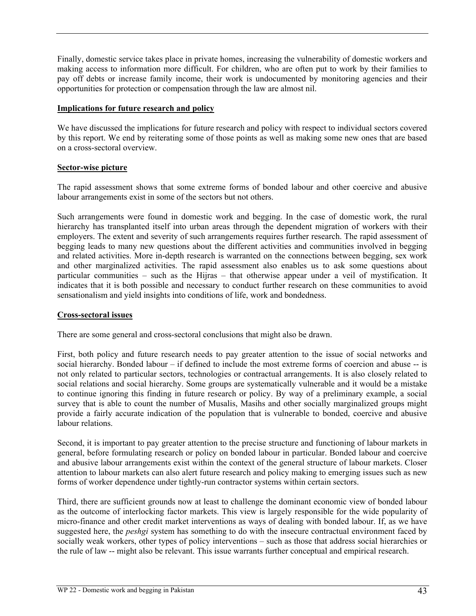Finally, domestic service takes place in private homes, increasing the vulnerability of domestic workers and making access to information more difficult. For children, who are often put to work by their families to pay off debts or increase family income, their work is undocumented by monitoring agencies and their opportunities for protection or compensation through the law are almost nil.

#### **Implications for future research and policy**

We have discussed the implications for future research and policy with respect to individual sectors covered by this report. We end by reiterating some of those points as well as making some new ones that are based on a cross-sectoral overview.

#### **Sector-wise picture**

The rapid assessment shows that some extreme forms of bonded labour and other coercive and abusive labour arrangements exist in some of the sectors but not others.

Such arrangements were found in domestic work and begging. In the case of domestic work, the rural hierarchy has transplanted itself into urban areas through the dependent migration of workers with their employers. The extent and severity of such arrangements requires further research. The rapid assessment of begging leads to many new questions about the different activities and communities involved in begging and related activities. More in-depth research is warranted on the connections between begging, sex work and other marginalized activities. The rapid assessment also enables us to ask some questions about particular communities – such as the Hijras – that otherwise appear under a veil of mystification. It indicates that it is both possible and necessary to conduct further research on these communities to avoid sensationalism and yield insights into conditions of life, work and bondedness.

#### **Cross-sectoral issues**

There are some general and cross-sectoral conclusions that might also be drawn.

First, both policy and future research needs to pay greater attention to the issue of social networks and social hierarchy. Bonded labour – if defined to include the most extreme forms of coercion and abuse -- is not only related to particular sectors, technologies or contractual arrangements. It is also closely related to social relations and social hierarchy. Some groups are systematically vulnerable and it would be a mistake to continue ignoring this finding in future research or policy. By way of a preliminary example, a social survey that is able to count the number of Musalis, Masihs and other socially marginalized groups might provide a fairly accurate indication of the population that is vulnerable to bonded, coercive and abusive labour relations.

Second, it is important to pay greater attention to the precise structure and functioning of labour markets in general, before formulating research or policy on bonded labour in particular. Bonded labour and coercive and abusive labour arrangements exist within the context of the general structure of labour markets. Closer attention to labour markets can also alert future research and policy making to emerging issues such as new forms of worker dependence under tightly-run contractor systems within certain sectors.

Third, there are sufficient grounds now at least to challenge the dominant economic view of bonded labour as the outcome of interlocking factor markets. This view is largely responsible for the wide popularity of micro-finance and other credit market interventions as ways of dealing with bonded labour. If, as we have suggested here, the *peshgi* system has something to do with the insecure contractual environment faced by socially weak workers, other types of policy interventions – such as those that address social hierarchies or the rule of law -- might also be relevant. This issue warrants further conceptual and empirical research.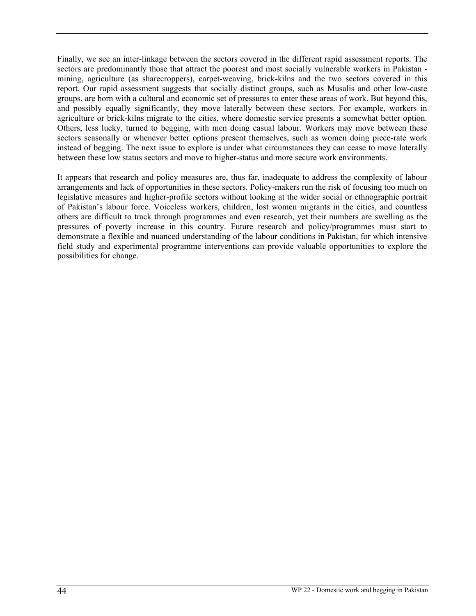Finally, we see an inter-linkage between the sectors covered in the different rapid assessment reports. The sectors are predominantly those that attract the poorest and most socially vulnerable workers in Pakistan mining, agriculture (as sharecroppers), carpet-weaving, brick-kilns and the two sectors covered in this report. Our rapid assessment suggests that socially distinct groups, such as Musalis and other low-caste groups, are born with a cultural and economic set of pressures to enter these areas of work. But beyond this, and possibly equally significantly, they move laterally between these sectors. For example, workers in agriculture or brick-kilns migrate to the cities, where domestic service presents a somewhat better option. Others, less lucky, turned to begging, with men doing casual labour. Workers may move between these sectors seasonally or whenever better options present themselves, such as women doing piece-rate work instead of begging. The next issue to explore is under what circumstances they can cease to move laterally between these low status sectors and move to higher-status and more secure work environments.

It appears that research and policy measures are, thus far, inadequate to address the complexity of labour arrangements and lack of opportunities in these sectors. Policy-makers run the risk of focusing too much on legislative measures and higher-profile sectors without looking at the wider social or ethnographic portrait of Pakistan's labour force. Voiceless workers, children, lost women migrants in the cities, and countless others are difficult to track through programmes and even research, yet their numbers are swelling as the pressures of poverty increase in this country. Future research and policy/programmes must start to demonstrate a flexible and nuanced understanding of the labour conditions in Pakistan, for which intensive field study and experimental programme interventions can provide valuable opportunities to explore the possibilities for change.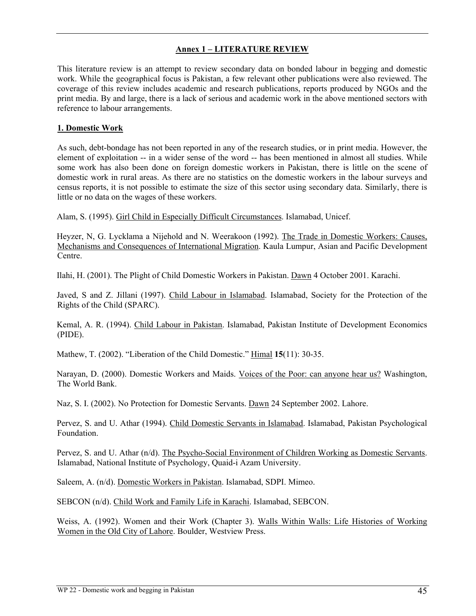# **Annex 1 – LITERATURE REVIEW**

This literature review is an attempt to review secondary data on bonded labour in begging and domestic work. While the geographical focus is Pakistan, a few relevant other publications were also reviewed. The coverage of this review includes academic and research publications, reports produced by NGOs and the print media. By and large, there is a lack of serious and academic work in the above mentioned sectors with reference to labour arrangements.

# **1. Domestic Work**

As such, debt-bondage has not been reported in any of the research studies, or in print media. However, the element of exploitation -- in a wider sense of the word -- has been mentioned in almost all studies. While some work has also been done on foreign domestic workers in Pakistan, there is little on the scene of domestic work in rural areas. As there are no statistics on the domestic workers in the labour surveys and census reports, it is not possible to estimate the size of this sector using secondary data. Similarly, there is little or no data on the wages of these workers.

Alam, S. (1995). Girl Child in Especially Difficult Circumstances. Islamabad, Unicef.

Heyzer, N, G. Lycklama a Nijehold and N. Weerakoon (1992). The Trade in Domestic Workers: Causes, Mechanisms and Consequences of International Migration. Kaula Lumpur, Asian and Pacific Development Centre.

Ilahi, H. (2001). The Plight of Child Domestic Workers in Pakistan. Dawn 4 October 2001. Karachi.

Javed, S and Z. Jillani (1997). Child Labour in Islamabad. Islamabad, Society for the Protection of the Rights of the Child (SPARC).

Kemal, A. R. (1994). Child Labour in Pakistan. Islamabad, Pakistan Institute of Development Economics (PIDE).

Mathew, T. (2002). "Liberation of the Child Domestic." Himal **15**(11): 30-35.

Narayan, D. (2000). Domestic Workers and Maids. Voices of the Poor: can anyone hear us? Washington, The World Bank.

Naz, S. I. (2002). No Protection for Domestic Servants. Dawn 24 September 2002. Lahore.

Pervez, S. and U. Athar (1994). Child Domestic Servants in Islamabad. Islamabad, Pakistan Psychological Foundation.

Pervez, S. and U. Athar (n/d). The Psycho-Social Environment of Children Working as Domestic Servants. Islamabad, National Institute of Psychology, Quaid-i Azam University.

Saleem, A. (n/d). Domestic Workers in Pakistan. Islamabad, SDPI. Mimeo.

SEBCON (n/d). Child Work and Family Life in Karachi. Islamabad, SEBCON.

Weiss, A. (1992). Women and their Work (Chapter 3). Walls Within Walls: Life Histories of Working Women in the Old City of Lahore. Boulder, Westview Press.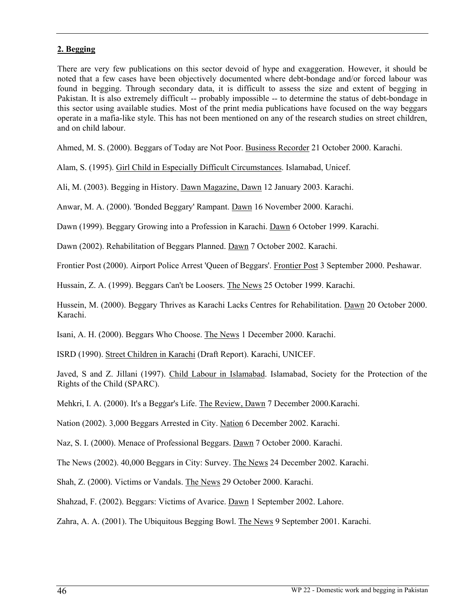# **2. Begging**

There are very few publications on this sector devoid of hype and exaggeration. However, it should be noted that a few cases have been objectively documented where debt-bondage and/or forced labour was found in begging. Through secondary data, it is difficult to assess the size and extent of begging in Pakistan. It is also extremely difficult -- probably impossible -- to determine the status of debt-bondage in this sector using available studies. Most of the print media publications have focused on the way beggars operate in a mafia-like style. This has not been mentioned on any of the research studies on street children, and on child labour.

Ahmed, M. S. (2000). Beggars of Today are Not Poor. Business Recorder 21 October 2000. Karachi.

Alam, S. (1995). Girl Child in Especially Difficult Circumstances. Islamabad, Unicef.

Ali, M. (2003). Begging in History. Dawn Magazine, Dawn 12 January 2003. Karachi.

Anwar, M. A. (2000). 'Bonded Beggary' Rampant. Dawn 16 November 2000. Karachi.

Dawn (1999). Beggary Growing into a Profession in Karachi. Dawn 6 October 1999. Karachi.

Dawn (2002). Rehabilitation of Beggars Planned. Dawn 7 October 2002. Karachi.

Frontier Post (2000). Airport Police Arrest 'Queen of Beggars'. Frontier Post 3 September 2000. Peshawar.

Hussain, Z. A. (1999). Beggars Can't be Loosers. The News 25 October 1999. Karachi.

Hussein, M. (2000). Beggary Thrives as Karachi Lacks Centres for Rehabilitation. Dawn 20 October 2000. Karachi.

Isani, A. H. (2000). Beggars Who Choose. The News 1 December 2000. Karachi.

ISRD (1990). Street Children in Karachi (Draft Report). Karachi, UNICEF.

Javed, S and Z. Jillani (1997). Child Labour in Islamabad. Islamabad, Society for the Protection of the Rights of the Child (SPARC).

Mehkri, I. A. (2000). It's a Beggar's Life. The Review, Dawn 7 December 2000.Karachi.

Nation (2002). 3,000 Beggars Arrested in City. Nation 6 December 2002. Karachi.

Naz, S. I. (2000). Menace of Professional Beggars. Dawn 7 October 2000. Karachi.

The News (2002). 40,000 Beggars in City: Survey. The News 24 December 2002. Karachi.

Shah, Z. (2000). Victims or Vandals. The News 29 October 2000. Karachi.

Shahzad, F. (2002). Beggars: Victims of Avarice. Dawn 1 September 2002. Lahore.

Zahra, A. A. (2001). The Ubiquitous Begging Bowl. The News 9 September 2001. Karachi.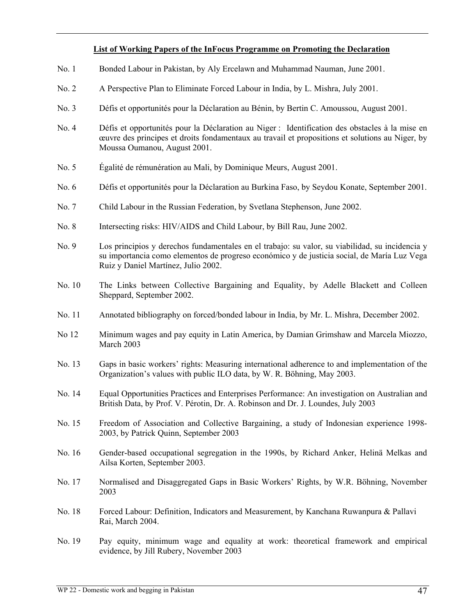#### **List of Working Papers of the InFocus Programme on Promoting the Declaration**

- No. 1 Bonded Labour in Pakistan, by Aly Ercelawn and Muhammad Nauman, June 2001.
- No. 2 A Perspective Plan to Eliminate Forced Labour in India, by L. Mishra, July 2001.
- No. 3 Défis et opportunités pour la Déclaration au Bénin, by Bertin C. Amoussou, August 2001.
- No. 4 Défis et opportunités pour la Déclaration au Niger : Identification des obstacles à la mise en œuvre des principes et droits fondamentaux au travail et propositions et solutions au Niger, by Moussa Oumanou, August 2001.
- No. 5 Égalité de rémunération au Mali, by Dominique Meurs, August 2001.
- No. 6 Défis et opportunités pour la Déclaration au Burkina Faso, by Seydou Konate, September 2001.
- No. 7 Child Labour in the Russian Federation, by Svetlana Stephenson, June 2002.
- No. 8 Intersecting risks: HIV/AIDS and Child Labour, by Bill Rau, June 2002.
- No. 9 Los principios y derechos fundamentales en el trabajo: su valor, su viabilidad, su incidencia y su importancia como elementos de progreso económico y de justicia social, de María Luz Vega Ruiz y Daniel Martínez, Julio 2002.
- No. 10 The Links between Collective Bargaining and Equality, by Adelle Blackett and Colleen Sheppard, September 2002.
- No. 11 Annotated bibliography on forced/bonded labour in India, by Mr. L. Mishra, December 2002.
- No 12 Minimum wages and pay equity in Latin America, by Damian Grimshaw and Marcela Miozzo, March 2003
- No. 13 Gaps in basic workers' rights: Measuring international adherence to and implementation of the Organization's values with public ILO data, by W. R. Böhning, May 2003.
- No. 14 Equal Opportunities Practices and Enterprises Performance: An investigation on Australian and British Data, by Prof. V. Pérotin, Dr. A. Robinson and Dr. J. Loundes, July 2003
- No. 15 Freedom of Association and Collective Bargaining, a study of Indonesian experience 1998- 2003, by Patrick Quinn, September 2003
- No. 16 Gender-based occupational segregation in the 1990s, by Richard Anker, Helinä Melkas and Ailsa Korten, September 2003.
- No. 17 Normalised and Disaggregated Gaps in Basic Workers' Rights, by W.R. Böhning, November 2003
- No. 18 Forced Labour: Definition, Indicators and Measurement, by Kanchana Ruwanpura & Pallavi Rai, March 2004.
- No. 19 Pay equity, minimum wage and equality at work: theoretical framework and empirical evidence, by Jill Rubery, November 2003